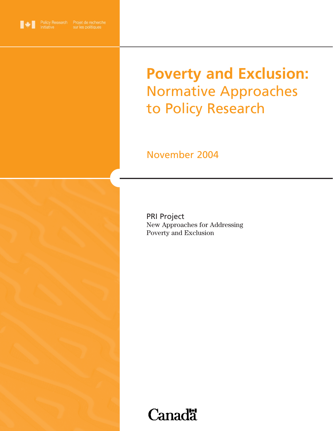

# **Poverty and Exclusion:** Normative Approaches to Policy Research

# November 2004



PRI Project New Approaches for Addressing Poverty and Exclusion

# **Canadä**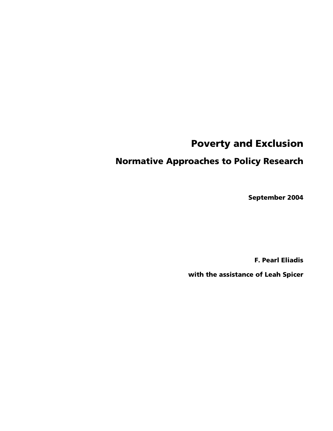# Poverty and Exclusion

## Normative Approaches to Policy Research

September 2004

F. Pearl Eliadis

with the assistance of Leah Spicer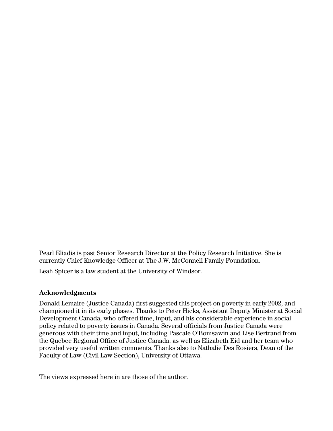Pearl Eliadis is past Senior Research Director at the Policy Research Initiative. She is currently Chief Knowledge Officer at The J.W. McConnell Family Foundation.

Leah Spicer is a law student at the University of Windsor.

#### **Acknowledgments**

Donald Lemaire (Justice Canada) first suggested this project on poverty in early 2002, and championed it in its early phases. Thanks to Peter Hicks, Assistant Deputy Minister at Social Development Canada, who offered time, input, and his considerable experience in social policy related to poverty issues in Canada. Several officials from Justice Canada were generous with their time and input, including Pascale O'Bomsawin and Lise Bertrand from the Quebec Regional Office of Justice Canada, as well as Elizabeth Eid and her team who provided very useful written comments. Thanks also to Nathalie Des Rosiers, Dean of the Faculty of Law (Civil Law Section), University of Ottawa.

The views expressed here in are those of the author.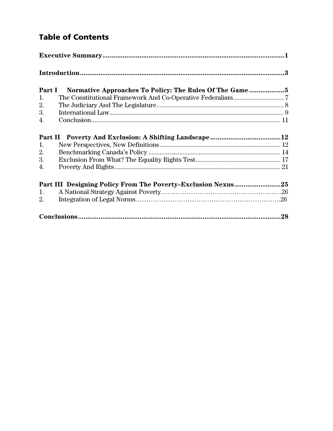## Table of Contents

|    | Part I Normative Approaches To Policy: The Rules Of The Game 5                          |  |
|----|-----------------------------------------------------------------------------------------|--|
| 1. |                                                                                         |  |
| 2. |                                                                                         |  |
| 3. | ${\bf International\ Law.}\label{C1} {\bf {\small\it International\ Law.}\normalsize}.$ |  |
| 4. |                                                                                         |  |
|    |                                                                                         |  |
| 1. |                                                                                         |  |
| 2. |                                                                                         |  |
| 3. |                                                                                         |  |
| 4. |                                                                                         |  |
|    | Part III Designing Policy From The Poverty-Exclusion Nexus25                            |  |
| 1. |                                                                                         |  |
| 2. |                                                                                         |  |
|    |                                                                                         |  |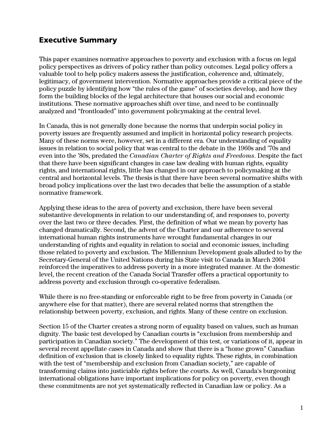## <span id="page-6-0"></span>Executive Summary

This paper examines normative approaches to poverty and exclusion with a focus on legal policy perspectives as drivers of policy rather than policy outcomes. Legal policy offers a valuable tool to help policy makers assess the justification, coherence and, ultimately, legitimacy, of government intervention. Normative approaches provide a critical piece of the policy puzzle by identifying how "the rules of the game" of societies develop, and how they form the building blocks of the legal architecture that houses our social and economic institutions. These normative approaches shift over time, and need to be continually analyzed and "frontloaded" into government policymaking at the central level.

In Canada, this is not generally done because the norms that underpin social policy in poverty issues are frequently assumed and implicit in horizontal policy research projects. Many of these norms were, however, set in a different era. Our understanding of equality issues in relation to social policy that was central to the debate in the 1960s and '70s and even into the '80s, predated the *Canadian Charter of Rights and Freedoms*. Despite the fact that there have been significant changes in case law dealing with human rights, equality rights, and international rights, little has changed in our approach to policymaking at the central and horizontal levels. The thesis is that there have been several normative shifts with broad policy implications over the last two decades that belie the assumption of a stable normative framework.

Applying these ideas to the area of poverty and exclusion, there have been several substantive developments in relation to our understanding of, and responses to, poverty over the last two or three decades. First, the definition of what we mean by poverty has changed dramatically. Second, the advent of the Charter and our adherence to several international human rights instruments have wrought fundamental changes in our understanding of rights and equality in relation to social and economic issues, including those related to poverty and exclusion. The Millennium Development goals alluded to by the Secretary-General of the United Nations during his State visit to Canada in March 2004 reinforced the imperatives to address poverty in a more integrated manner. At the domestic level, the recent creation of the Canada Social Transfer offers a practical opportunity to address poverty and exclusion through co-operative federalism.

While there is no free-standing or enforceable right to be free from poverty in Canada (or anywhere else for that matter), there are several related norms that strengthen the relationship between poverty, exclusion, and rights. Many of these centre on exclusion.

Section 15 of the Charter creates a strong norm of equality based on values, such as human dignity. The basic test developed by Canadian courts is "exclusion from membership and participation in Canadian society." The development of this test, or variations of it, appear in several recent appellate cases in Canada and show that there is a "home grown" Canadian definition of exclusion that is closely linked to equality rights. These rights, in combination with the test of "membership and exclusion from Canadian society," are capable of transforming claims into justiciable rights before the courts. As well, Canada's burgeoning international obligations have important implications for policy on poverty, even though these commitments are not yet systematically reflected in Canadian law or policy. As a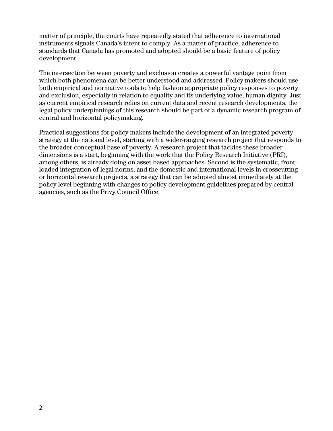matter of principle, the courts have repeatedly stated that adherence to international instruments signals Canada's intent to comply. As a matter of practice, adherence to standards that Canada has promoted and adopted should be a basic feature of policy development.

The intersection between poverty and exclusion creates a powerful vantage point from which both phenomena can be better understood and addressed. Policy makers should use both empirical and normative tools to help fashion appropriate policy responses to poverty and exclusion, especially in relation to equality and its underlying value, human dignity. Just as current empirical research relies on current data and recent research developments, the legal policy underpinnings of this research should be part of a dynamic research program of central and horizontal policymaking.

Practical suggestions for policy makers include the development of an integrated poverty strategy at the national level, starting with a wider-ranging research project that responds to the broader conceptual base of poverty. A research project that tackles these broader dimensions is a start, beginning with the work that the Policy Research Initiative (PRI), among others, is already doing on asset-based approaches. Second is the systematic, frontloaded integration of legal norms, and the domestic and international levels in crosscutting or horizontal research projects, a strategy that can be adopted almost immediately at the policy level beginning with changes to policy development guidelines prepared by central agencies, such as the Privy Council Office.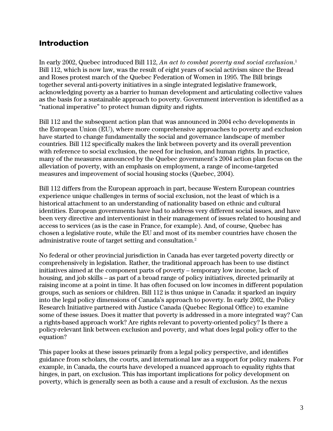## <span id="page-8-0"></span>Introduction

In early 2002, Quebec introduced Bill 112, *An act to combat poverty and social exclusion*. [1](#page-38-0) Bill 112, which is now law, was the result of eight years of social activism since the Bread and Roses protest march of the Quebec Federation of Women in 1995. The Bill brings together several anti-poverty initiatives in a single integrated legislative framework, acknowledging poverty as a barrier to human development and articulating collective values as the basis for a sustainable approach to poverty. Government intervention is identified as a "national imperative" to protect human dignity and rights.

Bill 112 and the subsequent action plan that was announced in 2004 echo developments in the European Union (EU), where more comprehensive approaches to poverty and exclusion have started to change fundamentally the social and governance landscape of member countries. Bill 112 specifically makes the link between poverty and its overall prevention with reference to social exclusion, the need for inclusion, and human rights. In practice, many of the measures announced by the Quebec government's 2004 action plan focus on the alleviation of poverty, with an emphasis on employment, a range of income-targeted measures and improvement of social housing stocks (Quebec, 2004).

Bill 112 differs from the European approach in part, because Western European countries experience unique challenges in terms of social exclusion, not the least of which is a historical attachment to an understanding of nationality based on ethnic and cultural identities. European governments have had to address very different social issues, and have been very directive and interventionist in their management of issues related to housing and access to services (as is the case in France, for example). And, of course, Quebec has chosen a legislative route, while the EU and most of its member countries have chosen the administrative route of target setting and consultation.[2](#page-38-1)

No federal or other provincial jurisdiction in Canada has ever targeted poverty directly or comprehensively in legislation. Rather, the traditional approach has been to use distinct initiatives aimed at the component parts of poverty – temporary low income, lack of housing, and job skills – as part of a broad range of policy initiatives, directed primarily at raising income at a point in time. It has often focused on low incomes in different population groups, such as seniors or children. Bill 112 is thus unique in Canada: it sparked an inquiry into the legal policy dimensions of Canada's approach to poverty. In early 2002, the Policy Research Initiative partnered with Justice Canada (Quebec Regional Office) to examine some of these issues. Does it matter that poverty is addressed in a more integrated way? Can a rights-based approach work? Are rights relevant to poverty-oriented policy? Is there a policy-relevant link between exclusion and poverty, and what does legal policy offer to the equation?

This paper looks at these issues primarily from a legal policy perspective, and identifies guidance from scholars, the courts, and international law as a support for policy makers. For example, in Canada, the courts have developed a nuanced approach to equality rights that hinges, in part, on exclusion. This has important implications for policy development on poverty, which is generally seen as both a cause and a result of exclusion. As the nexus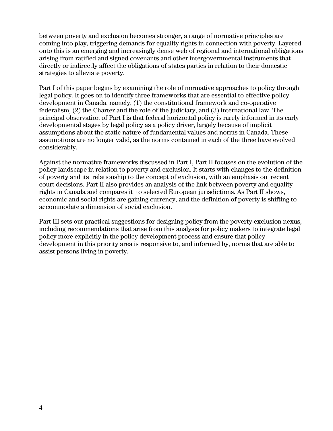between poverty and exclusion becomes stronger, a range of normative principles are coming into play, triggering demands for equality rights in connection with poverty. Layered onto this is an emerging and increasingly dense web of regional and international obligations arising from ratified and signed covenants and other intergovernmental instruments that directly or indirectly affect the obligations of states parties in relation to their domestic strategies to alleviate poverty.

Part I of this paper begins by examining the role of normative approaches to policy through legal policy. It goes on to identify three frameworks that are essential to effective policy development in Canada, namely, (1) the constitutional framework and co-operative federalism, (2) the Charter and the role of the judiciary, and (3) international law. The principal observation of Part I is that federal horizontal policy is rarely informed in its early developmental stages by legal policy as a policy driver, largely because of implicit assumptions about the static nature of fundamental values and norms in Canada. These assumptions are no longer valid, as the norms contained in each of the three have evolved considerably.

Against the normative frameworks discussed in Part I, Part II focuses on the evolution of the policy landscape in relation to poverty and exclusion. It starts with changes to the definition of poverty and its relationship to the concept of exclusion, with an emphasis on recent court decisions. Part II also provides an analysis of the link between poverty and equality rights in Canada and compares it to selected European jurisdictions. As Part II shows, economic and social rights are gaining currency, and the definition of poverty is shifting to accommodate a dimension of social exclusion.

Part III sets out practical suggestions for designing policy from the poverty-exclusion nexus, including recommendations that arise from this analysis for policy makers to integrate legal policy more explicitly in the policy development process and ensure that policy development in this priority area is responsive to, and informed by, norms that are able to assist persons living in poverty.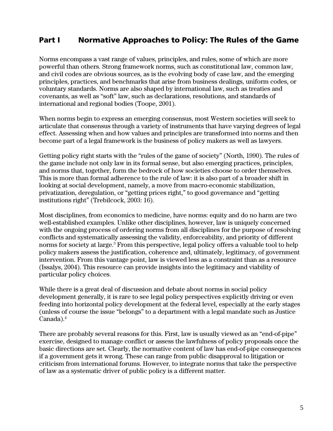## <span id="page-10-0"></span>Part I Normative Approaches to Policy: The Rules of the Game

Norms encompass a vast range of values, principles, and rules, some of which are more powerful than others. Strong framework norms, such as constitutional law, common law, and civil codes are obvious sources, as is the evolving body of case law, and the emerging principles, practices, and benchmarks that arise from business dealings, uniform codes, or voluntary standards. Norms are also shaped by international law, such as treaties and covenants, as well as "soft" law, such as declarations, resolutions, and standards of international and regional bodies (Toope, 2001).

When norms begin to express an emerging consensus, most Western societies will seek to articulate that consensus through a variety of instruments that have varying degrees of legal effect. Assessing when and how values and principles are transformed into norms and then become part of a legal framework is the business of policy makers as well as lawyers.

Getting policy right starts with the "rules of the game of society" (North, 1990). The rules of the game include not only law in its formal sense, but also emerging practices, principles, and norms that, together, form the bedrock of how societies choose to order themselves. This is more than formal adherence to the rule of law: it is also part of a broader shift in looking at social development, namely, a move from macro-economic stabilization, privatization, deregulation, or "getting prices right," to good governance and "getting institutions right" (Trebilcock, 2003: 16).

Most disciplines, from economics to medicine, have norms: equity and do no harm are two well-established examples. Unlike other disciplines, however, law is uniquely concerned with the ongoing process of ordering norms from all disciplines for the purpose of resolving conflicts and systematically assessing the validity, enforceability, and priority of different norms for society at large.<sup>3</sup> From this perspective, legal policy offers a valuable tool to help policy makers assess the justification, coherence and, ultimately, legitimacy, of government intervention. From this vantage point, law is viewed less as a constraint than as a resource (Issalys, 2004). This resource can provide insights into the legitimacy and viability of particular policy choices.

While there is a great deal of discussion and debate about norms in social policy development generally, it is rare to see legal policy perspectives explicitly driving or even feeding into horizontal policy development at the federal level, especially at the early stages (unless of course the issue "belongs" to a department with a legal mandate such as Justice Canada).<sup>[4](#page-38-3)</sup>

There are probably several reasons for this. First, law is usually viewed as an "end-of-pipe" exercise, designed to manage conflict or assess the lawfulness of policy proposals once the basic directions are set. Clearly, the normative content of law has end-of-pipe consequences if a government gets it wrong. These can range from public disapproval to litigation or criticism from international forums. However, to integrate norms that take the perspective of law as a systematic driver of public policy is a different matter.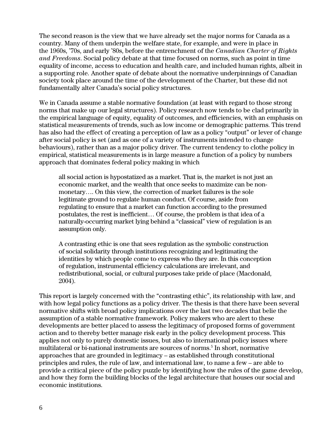The second reason is the view that we have already set the major norms for Canada as a country. Many of them underpin the welfare state, for example, and were in place in the 1960s, '70s, and early '80s, before the entrenchment of the *Canadian Charter of Rights and Freedoms*. Social policy debate at that time focused on norms, such as point in time equality of income, access to education and health care, and included human rights, albeit in a supporting role. Another spate of debate about the normative underpinnings of Canadian society took place around the time of the development of the Charter, but these did not fundamentally alter Canada's social policy structures.

We in Canada assume a stable normative foundation (at least with regard to those strong norms that make up our legal structures). Policy research now tends to be clad primarily in the empirical language of equity, equality of outcomes, and efficiencies, with an emphasis on statistical measurements of trends, such as low income or demographic patterns. This trend has also had the effect of creating a perception of law as a policy "output" or lever of change after social policy is set (and as one of a variety of instruments intended to change behaviours), rather than as a major policy driver. The current tendency to clothe policy in empirical, statistical measurements is in large measure a function of a policy by numbers approach that dominates federal policy making in which

all social action is hypostatized as a market. That is, the market is not just an economic market, and the wealth that once seeks to maximize can be nonmonetary…. On this view, the correction of market failures is the sole legitimate ground to regulate human conduct. Of course, aside from regulating to ensure that a market can function according to the presumed postulates, the rest is inefficient… Of course, the problem is that idea of a naturally-occurring market lying behind a "classical" view of regulation is an assumption only.

A contrasting ethic is one that sees regulation as the symbolic construction of social solidarity through institutions recognizing and legitimating the identities by which people come to express who they are. In this conception of regulation, instrumental efficiency calculations are irrelevant, and redistributional, social, or cultural purposes take pride of place (Macdonald, 2004).

This report is largely concerned with the "contrasting ethic", its relationship with law, and with how legal policy functions as a policy driver. The thesis is that there have been several normative shifts with broad policy implications over the last two decades that belie the assumption of a stable normative framework. Policy makers who are alert to these developments are better placed to assess the legitimacy of proposed forms of government action and to thereby better manage risk early in the policy development process. This applies not only to purely domestic issues, but also to international policy issues where multilateral or bi-national instruments are sources of norms.<sup>5</sup> In short, normative approaches that are grounded in legitimacy – as established through constitutional principles and rules, the rule of law, and international law, to name a few – are able to provide a critical piece of the policy puzzle by identifying how the rules of the game develop, and how they form the building blocks of the legal architecture that houses our social and economic institutions.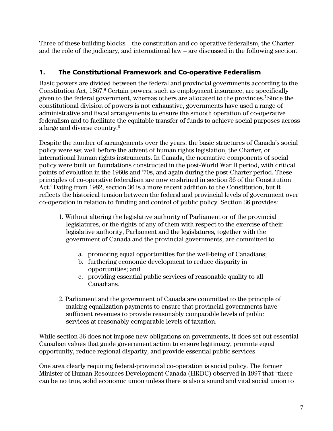<span id="page-12-0"></span>Three of these building blocks – the constitution and co-operative federalism, the Charter and the role of the judiciary, and international law – are discussed in the following section.

#### 1. The Constitutional Framework and Co-operative Federalism

Basic powers are divided between the federal and provincial governments according to the Constitution Act, 1867.<sup>6</sup> Certain powers, such as employment insurance, are specifically given to the federal government, whereas others are allocated to the provinces[.7](#page-38-6) Since the constitutional division of powers is not exhaustive, governments have used a range of administrative and fiscal arrangements to ensure the smooth operation of co-operative federalism and to facilitate the equitable transfer of funds to achieve social purposes across a large and diverse country[.8](#page-38-7)

Despite the number of arrangements over the years, the basic structures of Canada's social policy were set well before the advent of human rights legislation, the Charter, or international human rights instruments. In Canada, the normative components of social policy were built on foundations constructed in the post-World War II period, with critical points of evolution in the 1960s and '70s, and again during the post-Charter period. These principles of co-operative federalism are now enshrined in section 36 of the Constitution Act.<sup>9</sup> Dating from 1982, section 36 is a more recent addition to the Constitution, but it reflects the historical tension between the federal and provincial levels of government over co-operation in relation to funding and control of public policy. Section 36 provides:

- 1. Without altering the legislative authority of Parliament or of the provincial legislatures, or the rights of any of them with respect to the exercise of their legislative authority, Parliament and the legislatures, together with the government of Canada and the provincial governments, are committed to
	- a. promoting equal opportunities for the well-being of Canadians;
	- b. furthering economic development to reduce disparity in opportunities; and
	- c. providing essential public services of reasonable quality to all Canadians.
- 2. Parliament and the government of Canada are committed to the principle of making equalization payments to ensure that provincial governments have sufficient revenues to provide reasonably comparable levels of public services at reasonably comparable levels of taxation.

While section 36 does not impose new obligations on governments, it does set out essential Canadian values that guide government action to ensure legitimacy, promote equal opportunity, reduce regional disparity, and provide essential public services.

One area clearly requiring federal-provincial co-operation is social policy. The former Minister of Human Resources Development Canada (HRDC) observed in 1997 that "there can be no true, solid economic union unless there is also a sound and vital social union to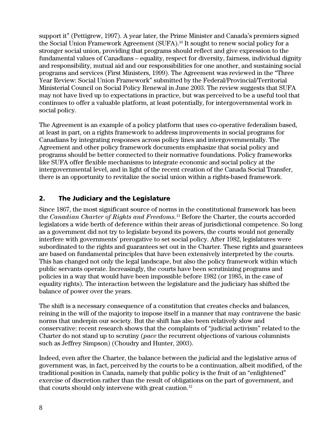<span id="page-13-0"></span>support it" (Pettigrew, 1997). A year later, the Prime Minister and Canada's premiers signed the Social Union Framework Agreement (SUFA).<sup>10</sup> It sought to renew social policy for a stronger social union, providing that programs should reflect and give expression to the fundamental values of Canadians – equality, respect for diversity, fairness, individual dignity and responsibility, mutual aid and our responsibilities for one another, and sustaining social programs and services (First Ministers, 1999). The Agreement was reviewed in the "Three Year Review: Social Union Framework" submitted by the Federal/Provincial/Territorial Ministerial Council on Social Policy Renewal in June 2003. The review suggests that SUFA may not have lived up to expectations in practice, but was perceived to be a useful tool that continues to offer a valuable platform, at least potentially, for intergovernmental work in social policy.

The Agreement is an example of a policy platform that uses co-operative federalism based, at least in part, on a rights framework to address improvements in social programs for Canadians by integrating responses across policy lines and intergovernmentally. The Agreement and other policy framework documents emphasize that social policy and programs should be better connected to their normative foundations. Policy frameworks like SUFA offer flexible mechanisms to integrate economic and social policy at the intergovernmental level, and in light of the recent creation of the Canada Social Transfer, there is an opportunity to revitalize the social union within a rights-based framework.

## 2. The Judiciary and the Legislature

Since 1867, the most significant source of norms in the constitutional framework has been the *Canadian Charter of Rights and Freedoms.*[11](#page-38-10) Before the Charter, the courts accorded legislators a wide berth of deference within their areas of jurisdictional competence. So long as a government did not try to legislate beyond its powers, the courts would not generally interfere with governments' prerogative to set social policy. After 1982, legislatures were subordinated to the rights and guarantees set out in the Charter. These rights and guarantees are based on fundamental principles that have been extensively interpreted by the courts. This has changed not only the legal landscape, but also the policy framework within which public servants operate. Increasingly, the courts have been scrutinizing programs and policies in a way that would have been impossible before 1982 (or 1985, in the case of equality rights). The interaction between the legislature and the judiciary has shifted the balance of power over the years.

The shift is a necessary consequence of a constitution that creates checks and balances, reining in the will of the majority to impose itself in a manner that may contravene the basic norms that underpin our society. But the shift has also been relatively slow and conservative: recent research shows that the complaints of "judicial activism" related to the Charter do not stand up to scrutiny (*pace* the recurrent objections of various columnists such as Jeffrey Simpson) (Choudry and Hunter, 2003).

Indeed, even after the Charter, the balance between the judicial and the legislative arms of government was, in fact, perceived by the courts to be a continuation, albeit modified, of the traditional position in Canada, namely that public policy is the fruit of an "enlightened" exercise of discretion rather than the result of obligations on the part of government, and that courts should only intervene with great caution.<sup>12</sup>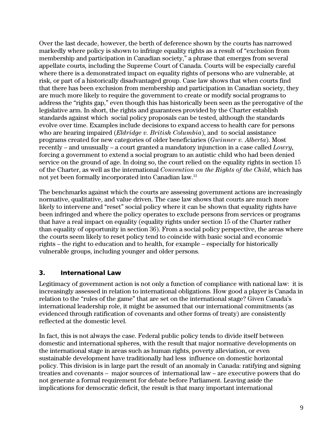<span id="page-14-0"></span>Over the last decade, however, the berth of deference shown by the courts has narrowed markedly where policy is shown to infringe equality rights as a result of "exclusion from membership and participation in Canadian society," a phrase that emerges from several appellate courts, including the Supreme Court of Canada. Courts will be especially careful where there is a demonstrated impact on equality rights of persons who are vulnerable, at risk, or part of a historically disadvantaged group. Case law shows that when courts find that there has been exclusion from membership and participation in Canadian society, they are much more likely to require the government to create or modify social programs to address the "rights gap," even though this has historically been seen as the prerogative of the legislative arm. In short, the rights and guarantees provided by the Charter establish standards against which social policy proposals can be tested, although the standards evolve over time. Examples include decisions to expand access to health care for persons who are hearing impaired (*Eldridge v. British Columbia*), and to social assistance programs created for new categories of older beneficiaries (*Gwinner v. Alberta*). Most recently – and unusually – a court granted a mandatory injunction in a case called *Lowry,* forcing a government to extend a social program to an autistic child who had been denied service on the ground of age. In doing so, the court relied on the equality rights in section 15 of the Charter, as well as the international *Convention on the Rights of the Child*, which has not yet been formally incorporated into Canadian law[.13](#page-38-12) 

The benchmarks against which the courts are assessing government actions are increasingly normative, qualitative, and value driven. The case law shows that courts are much more likely to intervene and "reset" social policy where it can be shown that equality rights have been infringed and where the policy operates to exclude persons from services or programs that have a real impact on equality (equality rights under section 15 of the Charter rather than equality of opportunity in section 36). From a social policy perspective, the areas where the courts seem likely to reset policy tend to coincide with basic social and economic rights – the right to education and to health, for example – especially for historically vulnerable groups, including younger and older persons.

#### 3. International Law

Legitimacy of government action is not only a function of compliance with national law: it is increasingly assessed in relation to international obligations. How good a player is Canada in relation to the "rules of the game" that are set on the international stage? Given Canada's international leadership role, it might be assumed that our international commitments (as evidenced through ratification of covenants and other forms of treaty) are consistently reflected at the domestic level.

In fact, this is not always the case. Federal public policy tends to divide itself between domestic and international spheres, with the result that major normative developments on the international stage in areas such as human rights, poverty alleviation, or even sustainable development have traditionally had less influence on domestic horizontal policy. This division is in large part the result of an anomaly in Canada: ratifying and signing treaties and covenants – major sources of international law – are executive powers that do not generate a formal requirement for debate before Parliament. Leaving aside the implications for democratic deficit, the result is that many important international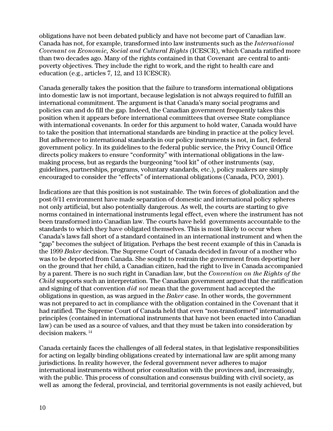obligations have not been debated publicly and have not become part of Canadian law. Canada has not, for example, transformed into law instruments such as the *International Covenant on Economic, Social and Cultural Rights* (ICESCR), which Canada ratified more than two decades ago. Many of the rights contained in that Covenant are central to antipoverty objectives. They include the right to work, and the right to health care and education (e.g., articles 7, 12, and 13 ICESCR).

Canada generally takes the position that the failure to transform international obligations into domestic law is not important, because legislation is not always required to fulfill an international commitment. The argument is that Canada's many social programs and policies can and do fill the gap. Indeed, the Canadian government frequently takes this position when it appears before international committees that oversee State compliance with international covenants. In order for this argument to hold water, Canada would have to take the position that international standards are binding in practice at the policy level. But adherence to international standards in our policy instruments is not, in fact, federal government policy. In its guidelines to the federal public service, the Privy Council Office directs policy makers to ensure "conformity" with international obligations in the lawmaking process, but as regards the burgeoning "tool kit" of other instruments (say, guidelines, partnerships, programs, voluntary standards, etc.), policy makers are simply encouraged to consider the "effects" of international obligations (Canada, PCO, 2001).

Indications are that this position is not sustainable. The twin forces of globalization and the post-9/11 environment have made separation of domestic and international policy spheres not only artificial, but also potentially dangerous. As well, the courts are starting to give norms contained in international instruments legal effect, even where the instrument has not been transformed into Canadian law. The courts have held governments accountable to the standards to which they have obligated themselves. This is most likely to occur when Canada's laws fall short of a standard contained in an international instrument and when the "gap" becomes the subject of litigation. Perhaps the best recent example of this in Canada is the 1999 *Baker* decision. The Supreme Court of Canada decided in favour of a mother who was to be deported from Canada. She sought to restrain the government from deporting her on the ground that her child, a Canadian citizen, had the right to live in Canada accompanied by a parent. There is no such right in Canadian law, but the *Convention on the Rights of the Child* supports such an interpretation. The Canadian government argued that the ratification and signing of that convention *did not* mean that the government had accepted the obligations in question, as was argued in the *Baker* case. In other words, the government was not prepared to act in compliance with the obligation contained in the Covenant that it had ratified. The Supreme Court of Canada held that even "non-transformed" international principles (contained in international instruments that have not been enacted into Canadian law) can be used as a source of values, and that they must be taken into consideration by decision makers. [14](#page-38-13) 

Canada certainly faces the challenges of all federal states, in that legislative responsibilities for acting on legally binding obligations created by international law are split among many jurisdictions. In reality however, the federal government never adheres to major international instruments without prior consultation with the provinces and, increasingly, with the public. This process of consultation and consensus building with civil society, as well as among the federal, provincial, and territorial governments is not easily achieved, but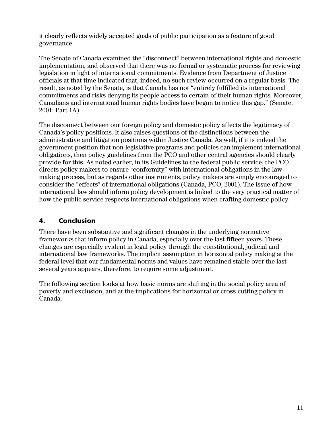<span id="page-16-0"></span>it clearly reflects widely accepted goals of public participation as a feature of good governance.

The Senate of Canada examined the "disconnect" between international rights and domestic implementation, and observed that there was no formal or systematic process for reviewing legislation in light of international commitments. Evidence from Department of Justice officials at that time indicated that, indeed, no such review occurred on a regular basis. The result, as noted by the Senate, is that Canada has not "entirely fulfilled its international commitments and risks denying its people access to certain of their human rights. Moreover, Canadians and international human rights bodies have begun to notice this gap." (Senate, 2001: Part 1A)

The disconnect between our foreign policy and domestic policy affects the legitimacy of Canada's policy positions. It also raises questions of the distinctions between the administrative and litigation positions within Justice Canada. As well, if it is indeed the government position that non-legislative programs and policies can implement international obligations, then policy guidelines from the PCO and other central agencies should clearly provide for this. As noted earlier, in its Guidelines to the federal public service, the PCO directs policy makers to ensure "conformity" with international obligations in the lawmaking process, but as regards other instruments, policy makers are simply encouraged to consider the "effects" of international obligations (Canada, PCO, 2001). The issue of how international law should inform policy development is linked to the very practical matter of how the public service respects international obligations when crafting domestic policy.

## 4. Conclusion

There have been substantive and significant changes in the underlying normative frameworks that inform policy in Canada, especially over the last fifteen years. These changes are especially evident in legal policy through the constitutional, judicial and international law frameworks. The implicit assumption in horizontal policy making at the federal level that our fundamental norms and values have remained stable over the last several years appears, therefore, to require some adjustment.

The following section looks at how basic norms are shifting in the social policy area of poverty and exclusion, and at the implications for horizontal or cross-cutting policy in Canada.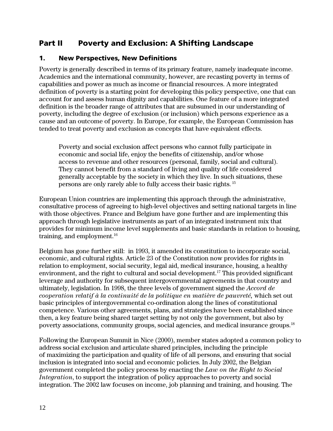## <span id="page-17-0"></span>Part II Poverty and Exclusion: A Shifting Landscape

#### 1. New Perspectives, New Definitions

Poverty is generally described in terms of its primary feature, namely inadequate income. Academics and the international community, however, are recasting poverty in terms of capabilities and power as much as income or financial resources. A more integrated definition of poverty is a starting point for developing this policy perspective, one that can account for and assess human dignity and capabilities. One feature of a more integrated definition is the broader range of attributes that are subsumed in our understanding of poverty, including the degree of exclusion (or inclusion) which persons experience as a cause and an outcome of poverty. In Europe, for example, the European Commission has tended to treat poverty and exclusion as concepts that have equivalent effects.

Poverty and social exclusion affect persons who cannot fully participate in economic and social life, enjoy the benefits of citizenship, and/or whose access to revenue and other resources (personal, family, social and cultural). They cannot benefit from a standard of living and quality of life considered generally acceptable by the society in which they live. In such situations, these persons are only rarely able to fully access their basic rights. [15](#page-38-14)

European Union countries are implementing this approach through the administrative, consultative process of agreeing to high-level objectives and setting national targets in line with those objectives. France and Belgium have gone further and are implementing this approach through legislative instruments as part of an integrated instrument mix that provides for minimum income level supplements and basic standards in relation to housing, training, and employment.<sup>16</sup>

Belgium has gone further still: in 1993, it amended its constitution to incorporate social, economic, and cultural rights. Article 23 of the Constitution now provides for rights in relation to employment, social security, legal aid, medical insurance, housing, a healthy environment, and the right to cultural and social development.<sup>17</sup> This provided significant leverage and authority for subsequent intergovernmental agreements in that country and ultimately, legislation. In 1998, the three levels of government signed the *Accord de cooperation relatif à la continuité de la politique en matière de pauvreté,* which set out basic principles of intergovernmental co-ordination along the lines of constitutional competence. Various other agreements, plans, and strategies have been established since then, a key feature being shared target setting by not only the government, but also by poverty associations, community groups, social agencies, and medical insurance groups[.18](#page-38-17) 

Following the European Summit in Nice (2000), member states adopted a common policy to address social exclusion and articulate shared principles, including the principle of maximizing the participation and quality of life of all persons, and ensuring that social inclusion is integrated into social and economic policies. In July 2002, the Belgian government completed the policy process by enacting the *Law on the Right to Social Integration*, to support the integration of policy approaches to poverty and social integration. The 2002 law focuses on income, job planning and training, and housing. The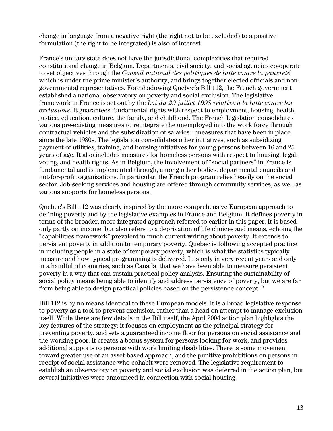change in language from a negative right (the right not to be excluded) to a positive formulation (the right to be integrated) is also of interest.

France's unitary state does not have the jurisdictional complexities that required constitutional change in Belgium. Departments, civil society, and social agencies co-operate to set objectives through the *Conseil national des politiques de lutte contre la pauvreté*, which is under the prime minister's authority, and brings together elected officials and nongovernmental representatives. Foreshadowing Quebec's Bill 112, the French government established a national observatory on poverty and social exclusion. The legislative framework in France is set out by the *Loi du 29 juillet 1998 relative à la lutte contre les exclusions*. It guarantees fundamental rights with respect to employment, housing, health, justice, education, culture, the family, and childhood. The French legislation consolidates various pre-existing measures to reintegrate the unemployed into the work force through contractual vehicles and the subsidization of salaries – measures that have been in place since the late 1980s. The legislation consolidates other initiatives, such as subsidizing payment of utilities, training, and housing initiatives for young persons between 16 and 25 years of age. It also includes measures for homeless persons with respect to housing, legal, voting, and health rights. As in Belgium, the involvement of "social partners" in France is fundamental and is implemented through, among other bodies, departmental councils and not-for-profit organizations. In particular, the French program relies heavily on the social sector. Job-seeking services and housing are offered through community services, as well as various supports for homeless persons.

Quebec's Bill 112 was clearly inspired by the more comprehensive European approach to defining poverty and by the legislative examples in France and Belgium. It defines poverty in terms of the broader, more integrated approach referred to earlier in this paper. It is based only partly on income, but also refers to a deprivation of life choices and means, echoing the "capabilities framework" prevalent in much current writing about poverty. It extends to persistent poverty in addition to temporary poverty. Quebec is following accepted practice in including people in a state of temporary poverty, which is what the statistics typically measure and how typical programming is delivered. It is only in very recent years and only in a handful of countries, such as Canada, that we have been able to measure persistent poverty in a way that can sustain practical policy analysis. Ensuring the sustainability of social policy means being able to identify and address persistence of poverty, but we are far from being able to design practical policies based on the persistence concept[.19](#page-38-18)

Bill 112 is by no means identical to these European models. It is a broad legislative response to poverty as a tool to prevent exclusion, rather than a head-on attempt to manage exclusion itself. While there are few details in the Bill itself, the April 2004 action plan highlights the key features of the strategy: it focuses on employment as the principal strategy for preventing poverty, and sets a guaranteed income floor for persons on social assistance and the working poor. It creates a bonus system for persons looking for work, and provides additional supports to persons with work limiting disabilities. There is some movement toward greater use of an asset-based approach, and the punitive prohibitions on persons in receipt of social assistance who cohabit were removed. The legislative requirement to establish an observatory on poverty and social exclusion was deferred in the action plan, but several initiatives were announced in connection with social housing.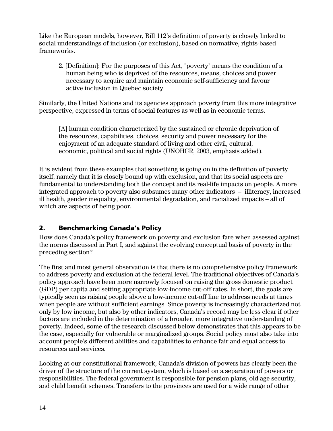<span id="page-19-0"></span>Like the European models, however, Bill 112's definition of poverty is closely linked to social understandings of inclusion (or exclusion), based on normative, rights-based frameworks.

2. [Definition]: For the purposes of this Act, "poverty" means the condition of a human being who is deprived of the resources, means, choices and power necessary to acquire and maintain economic self-sufficiency and favour active inclusion in Quebec society.

Similarly, the United Nations and its agencies approach poverty from this more integrative perspective, expressed in terms of social features as well as in economic terms.

[A] human condition characterized by the sustained or chronic deprivation of the resources, capabilities, choices, security and power necessary for the enjoyment of an adequate standard of living and other civil, cultural, economic, political and social rights (UNOHCR, 2003, emphasis added).

It is evident from these examples that something is going on in the definition of poverty itself, namely that it is closely bound up with exclusion, and that its social aspects are fundamental to understanding both the concept and its real-life impacts on people. A more integrated approach to poverty also subsumes many other indicators – illiteracy, increased ill health, gender inequality, environmental degradation, and racialized impacts – all of which are aspects of being poor.

## 2. Benchmarking Canada's Policy

How does Canada's policy framework on poverty and exclusion fare when assessed against the norms discussed in Part I, and against the evolving conceptual basis of poverty in the preceding section?

The first and most general observation is that there is no comprehensive policy framework to address poverty and exclusion at the federal level. The traditional objectives of Canada's policy approach have been more narrowly focused on raising the gross domestic product (GDP) per capita and setting appropriate low-income cut-off rates. In short, the goals are typically seen as raising people above a low-income cut-off line to address needs at times when people are without sufficient earnings. Since poverty is increasingly characterized not only by low income, but also by other indicators, Canada's record may be less clear if other factors are included in the determination of a broader, more integrative understanding of poverty. Indeed, some of the research discussed below demonstrates that this appears to be the case, especially for vulnerable or marginalized groups. Social policy must also take into account people's different abilities and capabilities to enhance fair and equal access to resources and services.

Looking at our constitutional framework, Canada's division of powers has clearly been the driver of the structure of the current system, which is based on a separation of powers or responsibilities. The federal government is responsible for pension plans, old age security, and child benefit schemes. Transfers to the provinces are used for a wide range of other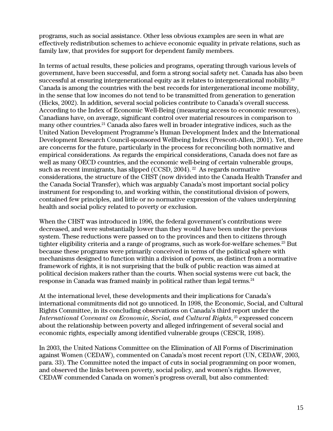programs, such as social assistance. Other less obvious examples are seen in what are effectively redistribution schemes to achieve economic equality in private relations, such as family law, that provides for support for dependent family members.

In terms of actual results, these policies and programs, operating through various levels of government, have been successful, and form a strong social safety net. Canada has also been successful at ensuring intergenerational equity as it relates to intergenerational mobility.<sup>20</sup> Canada is among the countries with the best records for intergenerational income mobility, in the sense that low incomes do not tend to be transmitted from generation to generation (Hicks, 2002). In addition, several social policies contribute to Canada's overall success. According to the Index of Economic Well-Being (measuring access to economic resources), Canadians have, on average, significant control over material resources in comparison to many other countries[.21 C](#page-38-20)anada also fares well in broader integrative indices, such as the United Nation Development Programme's Human Development Index and the International Development Research Council-sponsored Wellbeing Index (Prescott-Allen, 2001). Yet, there are concerns for the future, particularly in the process for reconciling both normative and empirical considerations. As regards the empirical considerations, Canada does not fare as well as many OECD countries, and the economic well-being of certain vulnerable groups, such as recent immigrants, has slipped (CCSD, 2004). <sup>22</sup> As regards normative considerations, the structure of the CHST (now divided into the Canada Health Transfer and the Canada Social Transfer), which was arguably Canada's most important social policy instrument for responding to, and working within, the constitutional division of powers, contained few principles, and little or no normative expression of the values underpinning health and social policy related to poverty or exclusion.

When the CHST was introduced in 1996, the federal government's contributions were decreased, and were substantially lower than they would have been under the previous system. These reductions were passed on to the provinces and then to citizens through tighter eligibility criteria and a range of programs, such as work-for-welfare schemes.<sup>23</sup> But because these programs were primarily conceived in terms of the political sphere with mechanisms designed to function within a division of powers, as distinct from a normative framework of rights, it is not surprising that the bulk of public reaction was aimed at political decision makers rather than the courts. When social systems were cut back, the response in Canada was framed mainly in political rather than legal terms.<sup>[24](#page-38-23)</sup>

At the international level, these developments and their implications for Canada's international commitments did not go unnoticed. In 1998, the Economic, Social, and Cultural Rights Committee, in its concluding observations on Canada's third report under the *International Covenant on Economic, Social, and Cultural Rights*, <sup>25</sup> expressed concern about the relationship between poverty and alleged infringement of several social and economic rights, especially among identified vulnerable groups (CESCR, 1998).

In 2003, the United Nations Committee on the Elimination of All Forms of Discrimination against Women (CEDAW), commented on Canada's most recent report (UN, CEDAW, 2003, para. 33). The Committee noted the impact of cuts in social programming on poor women, and observed the links between poverty, social policy, and women's rights. However, CEDAW commended Canada on women's progress overall, but also commented: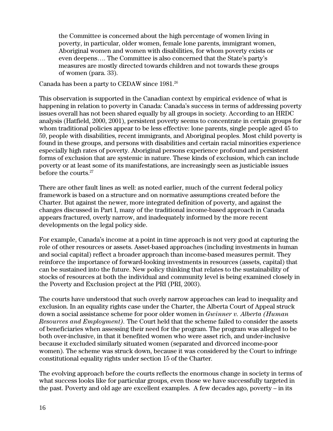the Committee is concerned about the high percentage of women living in poverty, in particular, older women, female lone parents, immigrant women, Aboriginal women and women with disabilities, for whom poverty exists or even deepens…. The Committee is also concerned that the State's party's measures are mostly directed towards children and not towards these groups of women (para. 33).

Canada has been a party to CEDAW since 1981[.26](#page-38-25) 

This observation is supported in the Canadian context by empirical evidence of what is happening in relation to poverty in Canada: Canada's success in terms of addressing poverty issues overall has not been shared equally by all groups in society. According to an HRDC analysis (Hatfield, 2000, 2001), persistent poverty seems to concentrate in certain groups for whom traditional policies appear to be less effective: lone parents, single people aged 45 to 59, people with disabilities, recent immigrants, and Aboriginal peoples. Most child poverty is found in these groups, and persons with disabilities and certain racial minorities experience especially high rates of poverty. Aboriginal persons experience profound and persistent forms of exclusion that are systemic in nature. These kinds of exclusion, which can include poverty or at least some of its manifestations, are increasingly seen as justiciable issues before the courts[.27](#page-38-26) 

There are other fault lines as well: as noted earlier, much of the current federal policy framework is based on a structure and on normative assumptions created before the Charter. But against the newer, more integrated definition of poverty, and against the changes discussed in Part I, many of the traditional income-based approach in Canada appears fractured, overly narrow, and inadequately informed by the more recent developments on the legal policy side.

For example, Canada's income at a point in time approach is not very good at capturing the role of other resources or assets. Asset-based approaches (including investments in human and social capital) reflect a broader approach than income-based measures permit. They reinforce the importance of forward-looking investments in resources (assets, capital) that can be sustained into the future. New policy thinking that relates to the sustainability of stocks of resources at both the individual and community level is being examined closely in the Poverty and Exclusion project at the PRI (PRI, 2003).

The courts have understood that such overly narrow approaches can lead to inequality and exclusion. In an equality rights case under the Charter, the Alberta Court of Appeal struck down a social assistance scheme for poor older women in *Gwinner v. Alberta (Human Resources and Employment).* The Court held that the scheme failed to consider the assets of beneficiaries when assessing their need for the program. The program was alleged to be both over-inclusive, in that it benefited women who were asset rich, and under-inclusive because it excluded similarly situated women (separated and divorced income-poor women). The scheme was struck down, because it was considered by the Court to infringe constitutional equality rights under section 15 of the Charter*.* 

The evolving approach before the courts reflects the enormous change in society in terms of what success looks like for particular groups, even those we have successfully targeted in the past. Poverty and old age are excellent examples. A few decades ago, poverty – in its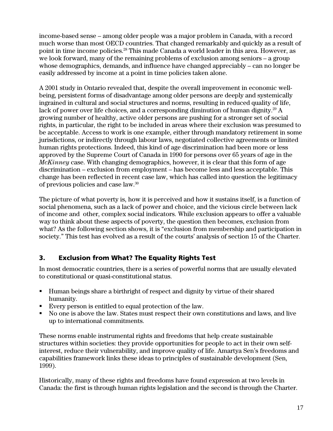<span id="page-22-0"></span>income-based sense – among older people was a major problem in Canada, with a record much worse than most OECD countries. That changed remarkably and quickly as a result of point in time income policies[.28](#page-38-27) This made Canada a world leader in this area. However, as we look forward, many of the remaining problems of exclusion among seniors – a group whose demographics, demands, and influence have changed appreciably – can no longer be easily addressed by income at a point in time policies taken alone.

A 2001 study in Ontario revealed that, despite the overall improvement in economic wellbeing, persistent forms of disadvantage among older persons are deeply and systemically ingrained in cultural and social structures and norms, resulting in reduced quality of life, lack of power over life choices, and a corresponding diminution of human dignity.<sup>29</sup> A growing number of healthy, active older persons are pushing for a stronger set of social rights, in particular, the right to be included in areas where their exclusion was presumed to be acceptable. Access to work is one example, either through mandatory retirement in some jurisdictions, or indirectly through labour laws, negotiated collective agreements or limited human rights protections. Indeed, this kind of age discrimination had been more or less approved by the Supreme Court of Canada in 1990 for persons over 65 years of age in the *McKinney* case. With changing demographics, however, it is clear that this form of age discrimination – exclusion from employment – has become less and less acceptable. This change has been reflected in recent case law, which has called into question the legitimacy of previous policies and case law[.30](#page-38-29) 

The picture of what poverty is, how it is perceived and how it sustains itself, is a function of social phenomena, such as a lack of power and choice, and the vicious circle between lack of income and other, complex social indicators. While exclusion appears to offer a valuable way to think about these aspects of poverty, the question then becomes, exclusion from what? As the following section shows, it is "exclusion from membership and participation in society." This test has evolved as a result of the courts' analysis of section 15 of the Charter.

## 3. Exclusion from What? The Equality Rights Test

In most democratic countries, there is a series of powerful norms that are usually elevated to constitutional or quasi-constitutional status.

- Human beings share a birthright of respect and dignity by virtue of their shared humanity.
- Every person is entitled to equal protection of the law.
- No one is above the law. States must respect their own constitutions and laws, and live up to international commitments.

These norms enable instrumental rights and freedoms that help create sustainable structures within societies: they provide opportunities for people to act in their own selfinterest, reduce their vulnerability, and improve quality of life. Amartya Sen's freedoms and capabilities framework links these ideas to principles of sustainable development (Sen, 1999).

Historically, many of these rights and freedoms have found expression at two levels in Canada: the first is through human rights legislation and the second is through the Charter.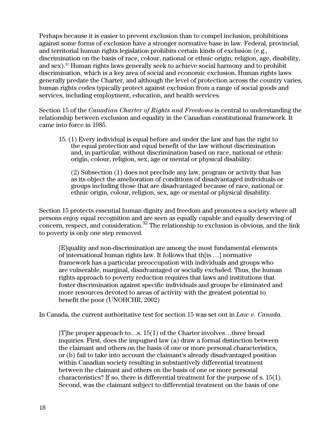Perhaps because it is easier to prevent exclusion than to compel inclusion, prohibitions against some forms of exclusion have a stronger normative base in law. Federal, provincial, and territorial human rights legislation prohibits certain kinds of exclusion (e.g., discrimination on the basis of race, colour, national or ethnic origin, religion, age, disability, and sex).[31 H](#page-38-30)uman rights laws generally seek to achieve social harmony and to prohibit discrimination, which is a key area of social and economic exclusion. Human rights laws generally predate the Charter, and although the level of protection across the country varies, human rights codes typically protect against exclusion from a range of social goods and services, including employment, education, and health services.

Section 15 of the *Canadian Charter of Rights and Freedoms* is central to understanding the relationship between exclusion and equality in the Canadian constitutional framework. It came into force in 1985.

15. (1) Every individual is equal before and under the law and has the right to the equal protection and equal benefit of the law without discrimination and, in particular, without discrimination based on race, national or ethnic origin, colour, religion, sex, age or mental or physical disability.

(2) Subsection (1) does not preclude any law, program or activity that has as its object the amelioration of conditions of disadvantaged individuals or groups including those that are disadvantaged because of race, national or ethnic origin, colour, religion, sex, age or mental or physical disability.

Section 15 protects essential human dignity and freedom and promotes a society where all persons enjoy equal recognition and are seen as equally capable and equally deserving of concern, respect, and consideration.<sup>[32](#page-38-31)</sup> The relationship to exclusion is obvious, and the link to poverty is only one step removed.

[E]quality and non-discrimination are among the most fundamental elements of international human rights law. It follows that th[is …] normative framework has a particular preoccupation with individuals and groups who are vulnerable, marginal, disadvantaged or socially excluded. Thus, the human rights approach to poverty reduction requires that laws and institutions that foster discrimination against specific individuals and groups be eliminated and more resources devoted to areas of activity with the greatest potential to benefit the poor (UNOHCHR, 2002)

In Canada, the current authoritative test for section 15 was set out in *Law v. Canada.*

[T]he proper approach to…s. 15(1) of the Charter involves…three broad inquiries. First, does the impugned law (a) draw a formal distinction between the claimant and others on the basis of one or more personal characteristics, or (b) fail to take into account the claimant's already disadvantaged position within Canadian society resulting in substantively differential treatment between the claimant and others on the basis of one or more personal characteristics? If so, there is differential treatment for the purpose of s. 15(1). Second, was the claimant subject to differential treatment on the basis of one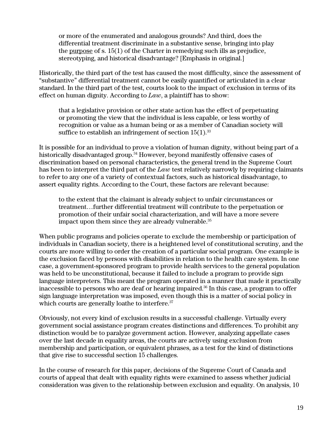or more of the enumerated and analogous grounds? And third, does the differential treatment discriminate in a substantive sense, bringing into play the purpose of s. 15(1) of the Charter in remedying such ills as prejudice, stereotyping, and historical disadvantage? [Emphasis in original.]

Historically, the third part of the test has caused the most difficulty, since the assessment of "substantive" differential treatment cannot be easily quantified or articulated in a clear standard. In the third part of the test, courts look to the impact of exclusion in terms of its effect on human dignity. According to *Law*, a plaintiff has to show:

that a legislative provision or other state action has the effect of perpetuating or promoting the view that the individual is less capable, or less worthy of recognition or value as a human being or as a member of Canadian society will suffice to establish an infringement of section  $15(1)$ .<sup>[33](#page-38-32)</sup>

It is possible for an individual to prove a violation of human dignity, without being part of a historically disadvantaged group.<sup>34</sup> However, beyond manifestly offensive cases of discrimination based on personal characteristics, the general trend in the Supreme Court has been to interpret the third part of the *Law* test relatively narrowly by requiring claimants to refer to any one of a variety of contextual factors, such as historical disadvantage, to assert equality rights. According to the Court, these factors are relevant because:

to the extent that the claimant is already subject to unfair circumstances or treatment…further differential treatment will contribute to the perpetuation or promotion of their unfair social characterization, and will have a more severe impact upon them since they are already vulnerable.<sup>35</sup>

When public programs and policies operate to exclude the membership or participation of individuals in Canadian society, there is a heightened level of constitutional scrutiny, and the courts are more willing to order the creation of a particular social program. One example is the exclusion faced by persons with disabilities in relation to the health care system. In one case, a government-sponsored program to provide health services to the general population was held to be unconstitutional, because it failed to include a program to provide sign language interpreters. This meant the program operated in a manner that made it practically inaccessible to persons who are deaf or hearing impaired.<sup>36</sup> In this case, a program to offer sign language interpretation was imposed, even though this is a matter of social policy in which courts are generally loathe to interfere.<sup>37</sup>

Obviously, not every kind of exclusion results in a successful challenge. Virtually every government social assistance program creates distinctions and differences. To prohibit any distinction would be to paralyze government action. However, analyzing appellate cases over the last decade in equality areas, the courts are actively using exclusion from membership and participation, or equivalent phrases, as a test for the kind of distinctions that give rise to successful section 15 challenges.

In the course of research for this paper, decisions of the Supreme Court of Canada and courts of appeal that dealt with equality rights were examined to assess whether judicial consideration was given to the relationship between exclusion and equality. On analysis, 10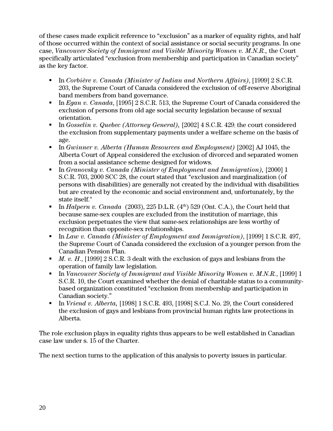of these cases made explicit reference to "exclusion" as a marker of equality rights, and half of those occurred within the context of social assistance or social security programs. In one case, *Vancouver Society of Immigrant and Visible Minority Women v. M.N.R.,* the Court specifically articulated "exclusion from membership and participation in Canadian society" as the key factor.

- In *Corbière v. Canada (Minister of Indian and Northern Affairs)*, [1999] 2 S.C.R. 203, the Supreme Court of Canada considered the exclusion of off-reserve Aboriginal band members from band governance.
- In *Egan v. Canada*, [1995] 2 S.C.R. 513, the Supreme Court of Canada considered the exclusion of persons from old age social security legislation because of sexual orientation.
- In *Gosselin v. Quebec (Attorney General)*, [2002] 4 S.C.R. 429; the court considered the exclusion from supplementary payments under a welfare scheme on the basis of age.
- In *Gwinner v. Alberta (Human Resources and Employment)* [2002] AJ 1045, the Alberta Court of Appeal considered the exclusion of divorced and separated women from a social assistance scheme designed for widows.
- In *Granovsky v. Canada (Minister of Employment and Immigration)*, [2000] 1 S.C.R. 703, 2000 SCC 28, the court stated that "exclusion and marginalization (of persons with disabilities) are generally not created by the individual with disabilities but are created by the economic and social environment and, unfortunately, by the state itself."
- In *Halpern v. Canada* (2003), 225 D.L.R.  $(4<sup>th</sup>)$  529 (Ont. C.A.), the Court held that because same-sex couples are excluded from the institution of marriage, this exclusion perpetuates the view that same-sex relationships are less worthy of recognition than opposite-sex relationships.
- In *Law v. Canada (Minister of Employment and Immigration)*, [1999] 1 S.C.R. 497, the Supreme Court of Canada considered the exclusion of a younger person from the Canadian Pension Plan.
- *M. v. H*., [1999] 2 S.C.R. 3 dealt with the exclusion of gays and lesbians from the operation of family law legislation.
- In *Vancouver Society of Immigrant and Visible Minority Women v. M.N.R.*, [1999] 1 S.C.R. 10, the Court examined whether the denial of charitable status to a communitybased organization constituted "exclusion from membership and participation in Canadian society."
- In *Vriend v. Alberta*, [1998] 1 S.C.R. 493, [1998] S.C.J. No. 29, the Court considered the exclusion of gays and lesbians from provincial human rights law protections in Alberta.

The role exclusion plays in equality rights thus appears to be well established in Canadian case law under s. 15 of the Charter.

The next section turns to the application of this analysis to poverty issues in particular.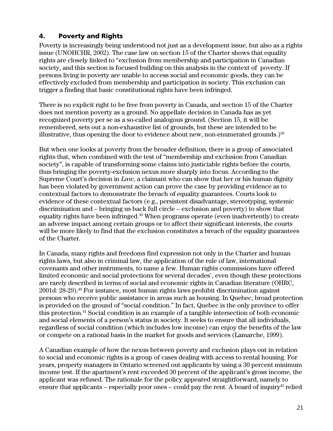## <span id="page-26-0"></span>4. Poverty and Rights

Poverty is increasingly being understood not just as a development issue, but also as a rights issue (UNOHCHR, 2002). The case law on section 15 of the Charter shows that equality rights are closely linked to "exclusion from membership and participation in Canadian society, and this section is focused building on this analysis in the context of poverty. If persons living in poverty are unable to access social and economic goods, they can be effectively excluded from membership and participation in society. This exclusion can trigger a finding that basic constitutional rights have been infringed.

There is no explicit right to be free from poverty in Canada, and section 15 of the Charter does not mention poverty as a ground. No appellate decision in Canada has as yet recognized poverty per se as a so-called analogous ground. (Section 15, it will be remembered, sets out a non-exhaustive list of grounds, but these are intended to be illustrative, thus opening the door to evidence about new, non-enumerated grounds.)<sup>38</sup>

But when one looks at poverty from the broader definition, there is a group of associated rights that, when combined with the test of "membership and exclusion from Canadian society", is capable of transforming some claims into justiciable rights before the courts, thus bringing the poverty-exclusion nexus more sharply into focus. According to the Supreme Court's decision in *Law*, a claimant who can show that her or his human dignity has been violated by government action can prove the case by providing evidence as to contextual factors to demonstrate the breach of equality guarantees. Courts look to evidence of these contextual factors (e.g., persistent disadvantage, stereotyping, systemic discrimination and – bringing us back full circle – exclusion and poverty) to show that equality rights have been infringed.<sup>39</sup> When programs operate (even inadvertently) to create an adverse impact among certain groups or to affect their significant interests, the courts will be more likely to find that the exclusion constitutes a breach of the equality guarantees of the Charter.

In Canada, many rights and freedoms find expression not only in the Charter and human rights laws, but also in criminal law, the application of the rule of law, international covenants and other instruments, to name a few. Human rights commissions have offered limited economic and social protections for several decades`, even though these protections are rarely described in terms of social and economic rights in Canadian literature (OHRC, 2001d: 28-29).[40 F](#page-38-38)or instance, most human rights laws prohibit discrimination against persons who receive public assistance in areas such as housing. In Quebec, broad protection is provided on the ground of "social condition." In fact, Quebec is the only province to offer this protection[.41](#page-38-39) Social condition is an example of a tangible intersection of both economic and social elements of a person's status in society. It seeks to ensure that all individuals, regardless of social condition (which includes low income) can enjoy the benefits of the law or compete on a rational basis in the market for goods and services (Lamarche, 1999).

A Canadian example of how the nexus between poverty and exclusion plays out in relation to social and economic rights is a group of cases dealing with access to rental housing. For years, property managers in Ontario screened out applicants by using a 30 percent minimum income test. If the apartment's rent exceeded 30 percent of the applicant's gross income, the applicant was refused. The rationale for the policy appeared straightforward, namely to ensure that applicants – especially poor ones – could pay the rent. A board of inquiry<sup>42</sup> relied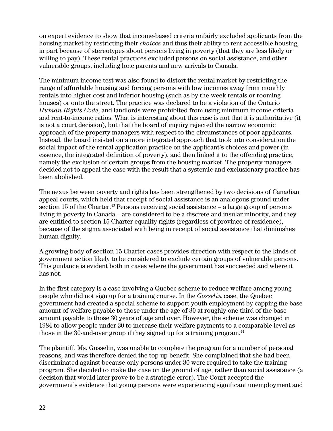on expert evidence to show that income-based criteria unfairly excluded applicants from the housing market by restricting their *choices* and thus their ability to rent accessible housing, in part because of stereotypes about persons living in poverty (that they are less likely or willing to pay). These rental practices excluded persons on social assistance, and other vulnerable groups, including lone parents and new arrivals to Canada.

The minimum income test was also found to distort the rental market by restricting the range of affordable housing and forcing persons with low incomes away from monthly rentals into higher cost and inferior housing (such as by-the-week rentals or rooming houses) or onto the street. The practice was declared to be a violation of the Ontario *Human Rights Code*, and landlords were prohibited from using minimum income criteria and rent-to-income ratios. What is interesting about this case is not that it is authoritative (it is not a court decision), but that the board of inquiry rejected the narrow economic approach of the property managers with respect to the circumstances of poor applicants. Instead, the board insisted on a more integrated approach that took into consideration the social impact of the rental application practice on the applicant's choices and power (in essence, the integrated definition of poverty), and then linked it to the offending practice, namely the exclusion of certain groups from the housing market. The property managers decided not to appeal the case with the result that a systemic and exclusionary practice has been abolished.

The nexus between poverty and rights has been strengthened by two decisions of Canadian appeal courts, which held that receipt of social assistance is an analogous ground under section 15 of the Charter.<sup>43</sup> Persons receiving social assistance – a large group of persons living in poverty in Canada – are considered to be a discrete and insular minority, and they are entitled to section 15 Charter equality rights (regardless of province of residence), because of the stigma associated with being in receipt of social assistance that diminishes human dignity.

A growing body of section 15 Charter cases provides direction with respect to the kinds of government action likely to be considered to exclude certain groups of vulnerable persons. This guidance is evident both in cases where the government has succeeded and where it has not.

In the first category is a case involving a Quebec scheme to reduce welfare among young people who did not sign up for a training course. In the *Gosselin* case, the Quebec government had created a special scheme to support youth employment by capping the base amount of welfare payable to those under the age of 30 at roughly one third of the base amount payable to those 30 years of age and over. However, the scheme was changed in 1984 to allow people under 30 to increase their welfare payments to a comparable level as those in the 30-and-over group if they signed up for a training program. $44$ 

The plaintiff, Ms. Gosselin, was unable to complete the program for a number of personal reasons, and was therefore denied the top-up benefit. She complained that she had been discriminated against because only persons under 30 were required to take the training program. She decided to make the case on the ground of age, rather than social assistance (a decision that would later prove to be a strategic error). The Court accepted the government's evidence that young persons were experiencing significant unemployment and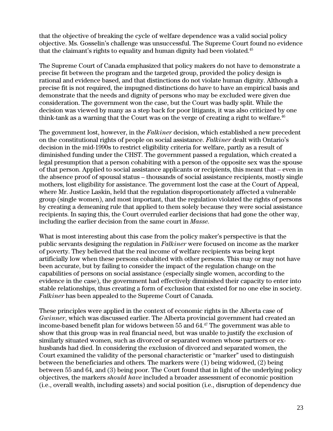that the objective of breaking the cycle of welfare dependence was a valid social policy objective. Ms. Gosselin's challenge was unsuccessful. The Supreme Court found no evidence that the claimant's rights to equality and human dignity had been violated.<sup>[45](#page-38-27)</sup>

The Supreme Court of Canada emphasized that policy makers do not have to demonstrate a precise fit between the program and the targeted group, provided the policy design is rational and evidence based, and that distinctions do not violate human dignity. Although a precise fit is not required, the impugned distinctions do have to have an empirical basis and demonstrate that the needs and dignity of persons who may be excluded were given due consideration. The government won the case, but the Court was badly split. While the decision was viewed by many as a step back for poor litigants, it was also criticized by one think-tank as a warning that the Court was on the verge of creating a right to welfare.<sup>46</sup>

The government lost, however, in the *Falkiner* decision, which established a new precedent on the constitutional rights of people on social assistance. *Falkiner* dealt with Ontario's decision in the mid-1990s to restrict eligibility criteria for welfare, partly as a result of diminished funding under the CHST. The government passed a regulation, which created a legal presumption that a person cohabiting with a person of the opposite sex was the spouse of that person. Applied to social assistance applicants or recipients, this meant that – even in the absence proof of spousal status – thousands of social assistance recipients, mostly single mothers, lost eligibility for assistance. The government lost the case at the Court of Appeal, where Mr. Justice Laskin, held that the regulation disproportionately affected a vulnerable group (single women), and most important, that the regulation violated the rights of persons by creating a demeaning rule that applied to them solely because they were social assistance recipients. In saying this, the Court overruled earlier decisions that had gone the other way, including the earlier decision from the same court in *Masse*.

What is most interesting about this case from the policy maker's perspective is that the public servants designing the regulation in *Falkiner* were focused on income as the marker of poverty. They believed that the real income of welfare recipients was being kept artificially low when these persons cohabited with other persons. This may or may not have been accurate, but by failing to consider the impact of the regulation change on the capabilities of persons on social assistance (especially single women, according to the evidence in the case), the government had effectively diminished their capacity to enter into stable relationships, thus creating a form of exclusion that existed for no one else in society. *Falkiner* has been appealed to the Supreme Court of Canada.

These principles were applied in the context of economic rights in the Alberta case of *Gwinner*, which was discussed earlier. The Alberta provincial government had created an income-based benefit plan for widows between 55 and 64[.47](#page-38-17) The government was able to show that this group was in real financial need, but was unable to justify the exclusion of similarly situated women, such as divorced or separated women whose partners or exhusbands had died. In considering the exclusion of divorced and separated women, the Court examined the validity of the personal characteristic or "marker" used to distinguish between the beneficiaries and others. The markers were (1) being widowed, (2) being between 55 and 64, and (3) being poor. The Court found that in light of the underlying policy objectives, the markers *should have* included a broader assessment of economic position (i.e., overall wealth, including assets) and social position (i.e., disruption of dependency due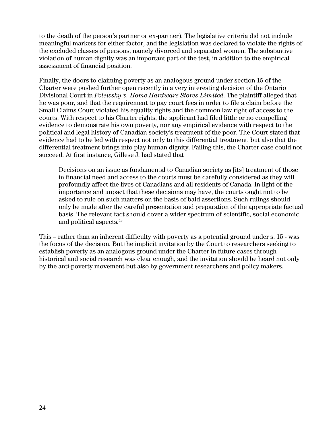to the death of the person's partner or ex-partner). The legislative criteria did not include meaningful markers for either factor, and the legislation was declared to violate the rights of the excluded classes of persons, namely divorced and separated women. The substantive violation of human dignity was an important part of the test, in addition to the empirical assessment of financial position.

Finally, the doors to claiming poverty as an analogous ground under section 15 of the Charter were pushed further open recently in a very interesting decision of the Ontario Divisional Court in *Polewsky v. Home Hardware Stores Limited*. The plaintiff alleged that he was poor, and that the requirement to pay court fees in order to file a claim before the Small Claims Court violated his equality rights and the common law right of access to the courts. With respect to his Charter rights, the applicant had filed little or no compelling evidence to demonstrate his own poverty, nor any empirical evidence with respect to the political and legal history of Canadian society's treatment of the poor. The Court stated that evidence had to be led with respect not only to this differential treatment, but also that the differential treatment brings into play human dignity. Failing this, the Charter case could not succeed. At first instance, Gillese J. had stated that

Decisions on an issue as fundamental to Canadian society as [its] treatment of those in financial need and access to the courts must be carefully considered as they will profoundly affect the lives of Canadians and all residents of Canada. In light of the importance and impact that these decisions may have, the courts ought not to be asked to rule on such matters on the basis of bald assertions. Such rulings should only be made after the careful presentation and preparation of the appropriate factual basis. The relevant fact should cover a wider spectrum of scientific, social economic and political aspects[.48](#page-38-34)

This – rather than an inherent difficulty with poverty as a potential ground under s. 15 - was the focus of the decision. But the implicit invitation by the Court to researchers seeking to establish poverty as an analogous ground under the Charter in future cases through historical and social research was clear enough, and the invitation should be heard not only by the anti-poverty movement but also by government researchers and policy makers.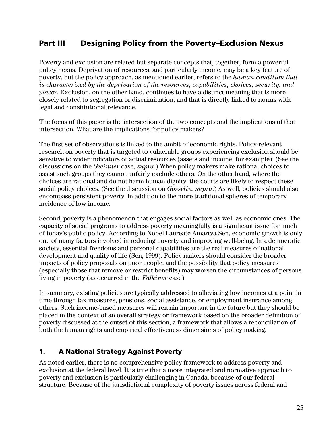## <span id="page-30-0"></span>Part III Designing Policy from the Poverty–Exclusion Nexus

Poverty and exclusion are related but separate concepts that, together, form a powerful policy nexus. Deprivation of resources, and particularly income, may be a key feature of poverty, but the policy approach, as mentioned earlier, refers to the *human condition that is characterized by the deprivation of the resources, capabilities, choices, security, and power*. Exclusion, on the other hand, continues to have a distinct meaning that is more closely related to segregation or discrimination, and that is directly linked to norms with legal and constitutional relevance.

The focus of this paper is the intersection of the two concepts and the implications of that intersection. What are the implications for policy makers?

The first set of observations is linked to the ambit of economic rights. Policy-relevant research on poverty that is targeted to vulnerable groups experiencing exclusion should be sensitive to wider indicators of actual resources (assets and income, for example). (See the discussions on the *Gwinner* case, *supra*.) When policy makers make rational choices to assist such groups they cannot unfairly exclude others. On the other hand, where the choices are rational and do not harm human dignity, the courts are likely to respect these social policy choices. (See the discussion on *Gosselin*, *supra*.) As well, policies should also encompass persistent poverty, in addition to the more traditional spheres of temporary incidence of low income.

Second, poverty is a phenomenon that engages social factors as well as economic ones. The capacity of social programs to address poverty meaningfully is a significant issue for much of today's public policy. According to Nobel Laureate Amartya Sen, economic growth is only one of many factors involved in reducing poverty and improving well-being. In a democratic society, essential freedoms and personal capabilities are the real measures of national development and quality of life (Sen, 1999). Policy makers should consider the broader impacts of policy proposals on poor people, and the possibility that policy measures (especially those that remove or restrict benefits) may worsen the circumstances of persons living in poverty (as occurred in the *Falkiner* case).

In summary, existing policies are typically addressed to alleviating low incomes at a point in time through tax measures, pensions, social assistance, or employment insurance among others. Such income-based measures will remain important in the future but they should be placed in the context of an overall strategy or framework based on the broader definition of poverty discussed at the outset of this section, a framework that allows a reconciliation of both the human rights and empirical effectiveness dimensions of policy making.

## 1. A National Strategy Against Poverty

As noted earlier, there is no comprehensive policy framework to address poverty and exclusion at the federal level. It is true that a more integrated and normative approach to poverty and exclusion is particularly challenging in Canada, because of our federal structure. Because of the jurisdictional complexity of poverty issues across federal and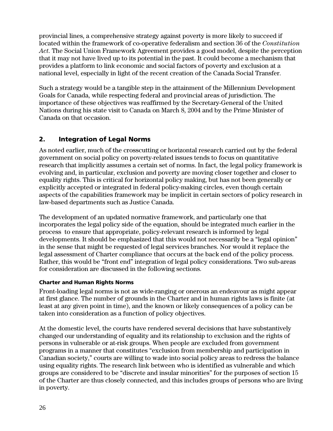provincial lines, a comprehensive strategy against poverty is more likely to succeed if located within the framework of co-operative federalism and section 36 of the *Constitution Act*. The Social Union Framework Agreement provides a good model, despite the perception that it may not have lived up to its potential in the past. It could become a mechanism that provides a platform to link economic and social factors of poverty and exclusion at a national level, especially in light of the recent creation of the Canada Social Transfer.

Such a strategy would be a tangible step in the attainment of the Millennium Development Goals for Canada, while respecting federal and provincial areas of jurisdiction. The importance of these objectives was reaffirmed by the Secretary-General of the United Nations during his state visit to Canada on March 8, 2004 and by the Prime Minister of Canada on that occasion.

## 2. Integration of Legal Norms

As noted earlier, much of the crosscutting or horizontal research carried out by the federal government on social policy on poverty-related issues tends to focus on quantitative research that implicitly assumes a certain set of norms. In fact, the legal policy framework is evolving and, in particular, exclusion and poverty are moving closer together and closer to equality rights. This is critical for horizontal policy making, but has not been generally or explicitly accepted or integrated in federal policy-making circles, even though certain aspects of the capabilities framework may be implicit in certain sectors of policy research in law-based departments such as Justice Canada.

The development of an updated normative framework, and particularly one that incorporates the legal policy side of the equation, should be integrated much earlier in the process to ensure that appropriate, policy-relevant research is informed by legal developments. It should be emphasized that this would not necessarily be a "legal opinion" in the sense that might be requested of legal services branches. Nor would it replace the legal assessment of Charter compliance that occurs at the back end of the policy process. Rather, this would be "front end" integration of legal policy considerations. Two sub-areas for consideration are discussed in the following sections.

#### Charter and Human Rights Norms

Front-loading legal norms is not as wide-ranging or onerous an endeavour as might appear at first glance. The number of grounds in the Charter and in human rights laws is finite (at least at any given point in time), and the known or likely consequences of a policy can be taken into consideration as a function of policy objectives.

At the domestic level, the courts have rendered several decisions that have substantively changed our understanding of equality and its relationship to exclusion and the rights of persons in vulnerable or at-risk groups. When people are excluded from government programs in a manner that constitutes "exclusion from membership and participation in Canadian society," courts are willing to wade into social policy areas to redress the balance using equality rights. The research link between who is identified as vulnerable and which groups are considered to be "discrete and insular minorities" for the purposes of section 15 of the Charter are thus closely connected, and this includes groups of persons who are living in poverty.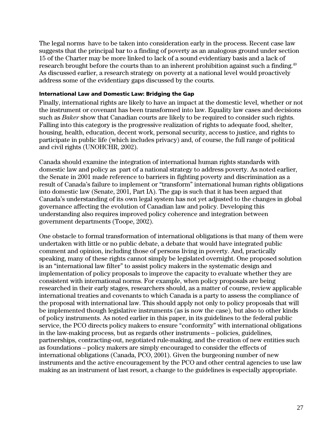The legal norms have to be taken into consideration early in the process. Recent case law suggests that the principal bar to a finding of poverty as an analogous ground under section 15 of the Charter may be more linked to lack of a sound evidentiary basis and a lack of research brought before the courts than to an inherent prohibition against such a finding.<sup>[49](#page-38-30)</sup> As discussed earlier, a research strategy on poverty at a national level would proactively address some of the evidentiary gaps discussed by the courts.

#### International Law and Domestic Law: Bridging the Gap

Finally, international rights are likely to have an impact at the domestic level, whether or not the instrument or covenant has been transformed into law. Equality law cases and decisions such as *Baker* show that Canadian courts are likely to be required to consider such rights. Falling into this category is the progressive realization of rights to adequate food, shelter, housing, health, education, decent work, personal security, access to justice, and rights to participate in public life (which includes privacy) and, of course, the full range of political and civil rights (UNOHCHR, 2002).

Canada should examine the integration of international human rights standards with domestic law and policy as part of a national strategy to address poverty. As noted earlier, the Senate in 2001 made reference to barriers in fighting poverty and discrimination as a result of Canada's failure to implement or "transform" international human rights obligations into domestic law (Senate, 2001, Part IA). The gap is such that it has been argued that Canada's understanding of its own legal system has not yet adjusted to the changes in global governance affecting the evolution of Canadian law and policy. Developing this understanding also requires improved policy coherence and integration between government departments (Toope, 2002).

One obstacle to formal transformation of international obligations is that many of them were undertaken with little or no public debate, a debate that would have integrated public comment and opinion, including those of persons living in poverty. And, practically speaking, many of these rights cannot simply be legislated overnight. One proposed solution is an "international law filter" to assist policy makers in the systematic design and implementation of policy proposals to improve the capacity to evaluate whether they are consistent with international norms. For example, when policy proposals are being researched in their early stages, researchers should, as a matter of course, review applicable international treaties and covenants to which Canada is a party to assess the compliance of the proposal with international law. This should apply not only to policy proposals that will be implemented though legislative instruments (as is now the case), but also to other kinds of policy instruments. As noted earlier in this paper, in its guidelines to the federal public service, the PCO directs policy makers to ensure "conformity" with international obligations in the law-making process, but as regards other instruments – policies, guidelines, partnerships, contracting-out, negotiated rule-making, and the creation of new entities such as foundations – policy makers are simply encouraged to consider the effects of international obligations (Canada, PCO, 2001). Given the burgeoning number of new instruments and the active encouragement by the PCO and other central agencies to use law making as an instrument of last resort, a change to the guidelines is especially appropriate.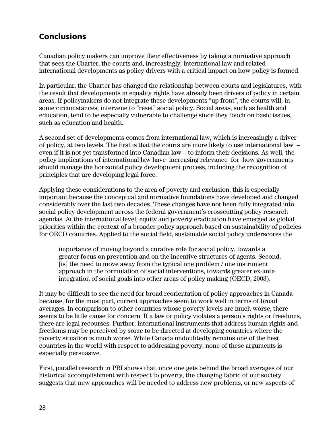## <span id="page-33-0"></span>**Conclusions**

Canadian policy makers can improve their effectiveness by taking a normative approach that sees the Charter, the courts and, increasingly, international law and related international developments as policy drivers with a critical impact on how policy is formed.

In particular, the Charter has changed the relationship between courts and legislatures, with the result that developments in equality rights have already been drivers of policy in certain areas, If policymakers do not integrate these developments "up front", the courts will, in some circumstances, intervene to "reset" social policy. Social areas, such as health and education, tend to be especially vulnerable to challenge since they touch on basic issues, such as education and health.

A second set of developments comes from international law, which is increasingly a driver of policy, at two levels. The first is that the courts are more likely to use international law – even if it is not yet transformed into Canadian law – to inform their decisions. As well, the policy implications of international law have increasing relevance for how governments should manage the horizontal policy development process, including the recognition of principles that are developing legal force.

Applying these considerations to the area of poverty and exclusion, this is especially important because the conceptual and normative foundations have developed and changed considerably over the last two decades. These changes have not been fully integrated into social policy development across the federal government's crosscutting policy research agendas. At the international level, equity and poverty eradication have emerged as global priorities within the context of a broader policy approach based on sustainability of policies for OECD countries. Applied to the social field, sustainable social policy underscores the

importance of moving beyond a curative role for social policy, towards a greater focus on prevention and on the incentive structures of agents. Second, [is] the need to move away from the typical one problem / one instrument approach in the formulation of social interventions, towards greater ex-ante integration of social goals into other areas of policy making (OECD, 2003).

It may be difficult to see the need for broad reorientation of policy approaches in Canada because, for the most part, current approaches seem to work well in terms of broad averages. In comparison to other countries whose poverty levels are much worse, there seems to be little cause for concern. If a law or policy violates a person's rights or freedoms, there are legal recourses. Further, international instruments that address human rights and freedoms may be perceived by some to be directed at developing countries where the poverty situation is much worse. While Canada undoubtedly remains one of the best countries in the world with respect to addressing poverty, none of these arguments is especially persuasive.

First, parallel research in PRI shows that, once one gets behind the broad averages of our historical accomplishment with respect to poverty, the changing fabric of our society suggests that new approaches will be needed to address new problems, or new aspects of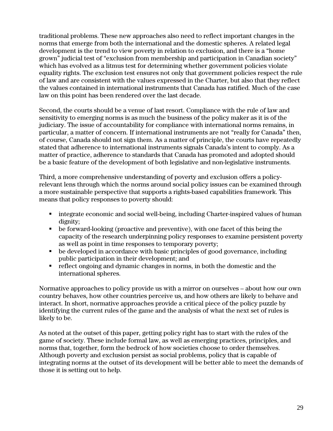traditional problems. These new approaches also need to reflect important changes in the norms that emerge from both the international and the domestic spheres. A related legal development is the trend to view poverty in relation to exclusion, and there is a "home grown" judicial test of "exclusion from membership and participation in Canadian society" which has evolved as a litmus test for determining whether government policies violate equality rights. The exclusion test ensures not only that government policies respect the rule of law and are consistent with the values expressed in the Charter, but also that they reflect the values contained in international instruments that Canada has ratified. Much of the case law on this point has been rendered over the last decade.

Second, the courts should be a venue of last resort. Compliance with the rule of law and sensitivity to emerging norms is as much the business of the policy maker as it is of the judiciary. The issue of accountability for compliance with international norms remains, in particular, a matter of concern. If international instruments are not "really for Canada" then, of course, Canada should not sign them. As a matter of principle, the courts have repeatedly stated that adherence to international instruments signals Canada's intent to comply. As a matter of practice, adherence to standards that Canada has promoted and adopted should be a basic feature of the development of both legislative and non-legislative instruments.

Third, a more comprehensive understanding of poverty and exclusion offers a policyrelevant lens through which the norms around social policy issues can be examined through a more sustainable perspective that supports a rights-based capabilities framework. This means that policy responses to poverty should:

- integrate economic and social well-being, including Charter-inspired values of human dignity;
- be forward-looking (proactive and preventive), with one facet of this being the capacity of the research underpinning policy responses to examine persistent poverty as well as point in time responses to temporary poverty;
- be developed in accordance with basic principles of good governance, including public participation in their development; and
- reflect ongoing and dynamic changes in norms, in both the domestic and the international spheres.

Normative approaches to policy provide us with a mirror on ourselves – about how our own country behaves, how other countries perceive us, and how others are likely to behave and interact. In short, normative approaches provide a critical piece of the policy puzzle by identifying the current rules of the game and the analysis of what the next set of rules is likely to be.

As noted at the outset of this paper, getting policy right has to start with the rules of the game of society. These include formal law, as well as emerging practices, principles, and norms that, together, form the bedrock of how societies choose to order themselves. Although poverty and exclusion persist as social problems, policy that is capable of integrating norms at the outset of its development will be better able to meet the demands of those it is setting out to help.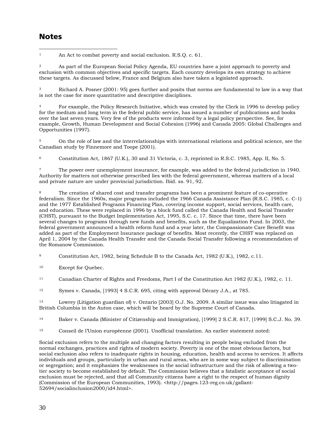## **Notes**

 $\overline{a}$ <sup>1</sup> An Act to combat poverty and social exclusion. R.S.Q. c. 61.

2 As part of the European Social Policy Agenda, EU countries have a joint approach to poverty and exclusion with common objectives and specific targets. Each country develops its own strategy to achieve these targets. As discussed below, France and Belgium also have taken a legislated approach.

3 Richard A. Posner (2001: 95) goes further and posits that norms are fundamental to law in a way that is not the case for more quantitative and descriptive disciplines.

4 For example, the Policy Research Initiative, which was created by the Clerk in 1996 to develop policy for the medium and long term in the federal public service, has issued a number of publications and books over the last seven years. Very few of the products were informed by a legal policy perspective. See, for example, Growth, Human Development and Social Cohesion (1996) and Canada 2005: Global Challenges and Opportunities (1997).

5 On the role of law and the interrelationships with international relations and political science, see the Canadian study by Finnemore and Toope (2001).

6 Constitution Act, 1867 (U.K.), 30 and 31 Victoria, c. 3, reprinted in R.S.C. 1985, App. II, No. 5.

7 The power over unemployment insurance, for example, was added to the federal jurisdiction in 1940. Authority for matters not otherwise prescribed lies with the federal government, whereas matters of a local and private nature are under provincial jurisdiction. Ibid. ss. 91, 92.

The creation of shared cost and transfer programs has been a prominent feature of co-operative federalism. Since the 1960s, major programs included the 1966 Canada Assistance Plan (R.S.C. 1985, c. C-1) and the 1977 Established Programs Financing Plan, covering income support, social services, health care, and education. These were replaced in 1996 by a block fund called the Canada Health and Social Transfer (CHST), pursuant to the Budget Implementation Act, 1995, S.C. c. 17. Since that time, there have been several changes to programs through new funds and benefits, such as the Equalization Fund. In 2003, the federal government announced a health reform fund and a year later, the Compassionate Care Benefit was added as part of the Employment Insurance package of benefits. Most recently, the CHST was replaced on April 1, 2004 by the Canada Health Transfer and the Canada Social Transfer following a recommendation of the Romanow Commission.

9 Constitution Act, 1982, being Schedule B to the Canada Act, 1982 (U.K.), 1982, c.11.

10 Except for Quebec.

11 Canadian Charter of Rights and Freedoms, Part I of the Constitution Act 1982 (U.K.), 1982, c. 11.

12 Symes v. Canada, [1993] 4 S.C.R. 695, citing with approval Décary J.A., at 785.

13 Lowrey (Litigation guardian of) v. Ontario [2003] O.J. No. 2009. A similar issue was also litiagated in British Columbia in the Auton case, which will be heard by the Supreme Court of Canada.

14 Baker v. Canada (Minister of Citizenship and Immigration), [1999] 2 S.C.R. 817, [1999] S.C.J. No. 39.

15 Conseil de l'Union européenne (2001). Unofficial translation. An earlier statement noted:

Social exclusion refers to the multiple and changing factors resulting in people being excluded from the normal exchanges, practices and rights of modern society. Poverty is one of the most obvious factors, but social exclusion also refers to inadequate rights in housing, education, health and access to services. It affects individuals and groups, particularly in urban and rural areas, who are in some way subject to discrimination or segregation; and it emphasizes the weaknesses in the social infrastructure and the risk of allowing a twotier society to become established by default. The Commission believes that a fatalistic acceptance of social exclusion must be rejected, and that all Community citizens have a right to the respect of human dignity (Commission of the European Communities, 1993). <http://pages.123-reg.co.uk/gallant-52694/socialinclusion2000/id4.html>.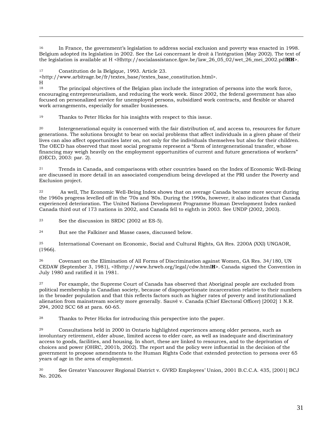16 In France, the government's legislation to address social exclusion and poverty was enacted in 1998. Belgium adopted its legislation in 2002. See the Loi concernant le droit à l'intégration (May 2002). The text of the legislation is available at H <Hhttp://socialassistance.fgov.be/law\_26\_05\_02/wet\_26\_mei\_2002.pdf**HH**>.

17 Constitution de la Belgique, 1993. Article 23.

<http://www.arbitrage.be/fr/textes\_base/textes\_base\_constitution.html>.

H

 $\overline{a}$ 

The principal objectives of the Belgian plan include the integration of persons into the work force, encouraging entrepreneurialism, and reducing the work week. Since 2002, the federal government has also focused on personalized service for unemployed persons, subsidized work contracts, and flexible or shared work arrangements, especially for smaller businesses.

19 Thanks to Peter Hicks for his insights with respect to this issue.

20 Intergenerational equity is concerned with the fair distribution of, and access to, resources for future generations. The solutions brought to bear on social problems that affect individuals in a given phase of their lives can also affect opportunities later on, not only for the individuals themselves but also for their children. The OECD has observed that most social programs represent a "form of intergenerational transfer, whose financing may weigh heavily on the employment opportunities of current and future generations of workers" (OECD, 2003: par. 2).

21 Trends in Canada, and comparisons with other countries based on the Index of Economic Well-Being are discussed in more detail in an associated compendium being developed at the PRI under the Poverty and Exclusion project.

As well, The Economic Well-Being Index shows that on average Canada became more secure during the 1960s progress levelled off in the '70s and '80s. During the 1990s, however, it also indicates that Canada experienced deterioration. The United Nations Development Programme Human Development Index ranked Canada third out of 173 nations in 2002, and Canada fell to eighth in 2003. See UNDP (2002, 2003).

23 See the discussion in SRDC (2002 at ES-5).

24 But see the Falkiner and Masse cases, discussed below.

25 International Covenant on Economic, Social and Cultural Rights, GA Res. 2200A (XXI) UNGAOR, (1966).

26 Covenant on the Elimination of All Forms of Discrimination against Women, GA Res. 34/180, UN CEDAW (September 3, 1981), <Hhttp://www.hrweb.org/legal/cdw.html**H**>. Canada signed the Convention in July 1980 and ratified it in 1981.

27 For example, the Supreme Court of Canada has observed that Aboriginal people are excluded from political membership in Canadian society, because of disproportionate incarceration relative to their numbers in the broader population and that this reflects factors such as higher rates of poverty and institutionalized alienation from mainstream society more generally. Sauvé v. Canada (Chief Electoral Officer) [2002] 1 N.R. 294, 2002 SCC 68 at para. 60-65.

28 Thanks to Peter Hicks for introducing this perspective into the paper.

29 Consultations held in 2000 in Ontario highlighted experiences among older persons, such as involuntary retirement, elder abuse, limited access to elder care, as well as inadequate and discriminatory access to goods, facilities, and housing. In short, these are linked to resources, and to the deprivation of choices and power (OHRC, 2001b, 2002). The report and the policy were influential in the decision of the government to propose amendments to the Human Rights Code that extended protection to persons over 65 years of age in the area of employment.

30 See Greater Vancouver Regional District v. GVRD Employees' Union, 2001 B.C.C.A. 435, [2001] BCJ No. 2026.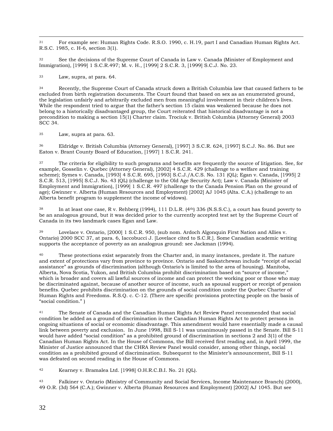$\overline{a}$ 31 For example see: Human Rights Code. R.S.O. 1990, c. H.19, part I and Canadian Human Rights Act. R.S.C. 1985, c. H-6, section 3(1).

32 See the decisions of the Supreme Court of Canada in Law v. Canada (Minister of Employment and Immigration), [1999] 1 S.C.R.497; M. v. H., [1999] 2 S.C.R. 3, [1999] S.C.J. No. 23.

33 Law, supra, at para. 64.

34 Recently, the Supreme Court of Canada struck down a British Columbia law that caused fathers to be excluded from birth registration documents. The Court found that based on sex as an enumerated ground, the legislation unfairly and arbitrarily excluded men from meaningful involvement in their children's lives. While the respondent tried to argue that the father's section 15 claim was weakened because he does not belong to a historically disadvantaged group, the Court reiterated that historical disadvantage is not a precondition to making a section 15(1) Charter claim. Trociuk v. British Columbia (Attorney General) 2003 SCC 34.

35 Law, supra at para. 63.

36 Eldridge v. British Columbia (Attorney General), [1997] 3 S.C.R. 624, [1997] S.C.J. No. 86. But see Eaton v. Brant County Board of Education, [1997] 1 S.C.R. 241.

37 The criteria for eligibility to such programs and benefits are frequently the source of litigation. See, for example, Gosselin v. Quebec (Attorney General), [2002] 4 S.C.R. 429 (challenge to a welfare and training scheme); Symes v. Canada, [1993] 4 S.C.R. 695, [1993] S.C.J./A.C.S. No. 131 (QL); Egan v. Canada, [1995] 2 S.C.R. 513, [1995] S.C.J. No. 43 (QL) (challenge to the Old Age Security Act); Law v. Canada (Minister of Employment and Immigration), [1999] 1 S.C.R. 497 (challenge to the Canada Pension Plan on the ground of age); Gwinner v. Alberta (Human Resources and Employment) [2002] AJ 1045 (Alta. C.A.) (challenge to an Alberta benefit program to supplement the income of widows).

38 In at least one case, R v. Rehberg (1994), 111 D.L.R. (4th) 336 (N.S.S.C.), a court has found poverty to be an analogous ground, but it was decided prior to the currently accepted test set by the Supreme Court of Canada in its two landmark cases Egan and Law.

39 Lovelace v. Ontario, [2000] 1 S.C.R. 950, (sub nom. Ardoch Algonquin First Nation and Allies v. Ontario) 2000 SCC 37, at para. 6, Iaccobucci J. [Lovelace cited to S.C.R.]. Some Canadian academic writing supports the acceptance of poverty as an analogous ground: see Jackman (1994).

40 These protections exist separately from the Charter and, in many instances, predate it. The nature and extent of protections vary from province to province. Ontario and Saskatchewan include "receipt of social assistance" as grounds of discrimination (although Ontario's is limited to the area of housing). Manitoba, Alberta, Nova Scotia, Yukon, and British Columbia prohibit discrimination based on "source of income," which is broader and covers all lawful sources of income and can protect the working poor or those who may be discriminated against, because of another source of income, such as spousal support or receipt of pension benefits. Quebec prohibits discrimination on the grounds of social condition under the Quebec Charter of Human Rights and Freedoms. R.S.Q. c. C-12. (There are specific provisions protecting people on the basis of "social condition." )

<sup>41</sup> The Senate of Canada and the Canadian Human Rights Act Review Panel recommended that social condition be added as a ground of discrimination in the Canadian Human Rights Act to protect persons in ongoing situations of social or economic disadvantage. This amendment would have essentially made a causal link between poverty and exclusion. In June 1998, Bill S-11 was unanimously passed in the Senate. Bill S-11 would have added "social condition" as a prohibited ground of discrimination in sections 2 and 3(1) of the Canadian Human Rights Act. In the House of Commons, the Bill received first reading and, in April 1999, the Minister of Justice announced that the CHRA Review Panel would consider, among other things, social condition as a prohibited ground of discrimination. Subsequent to the Minister's announcement, Bill S-11 was defeated on second reading in the House of Commons.

42 Kearney v. Bramalea Ltd. [1998] O.H.R.C.B.I. No. 21 (QL).

43 Falkiner v. Ontario (Ministry of Community and Social Services, Income Maintenance Branch) (2000), 49 O.R. (3d) 564 (C.A.); Gwinner v. Alberta (Human Resources and Employment) [2002] AJ 1045. But see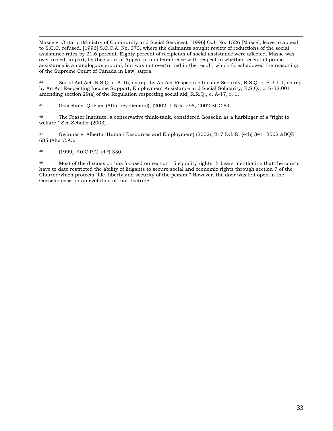<span id="page-38-27"></span><span id="page-38-9"></span><span id="page-38-0"></span> $\overline{a}$ Masse v. Ontario (Ministry of Community and Social Services), [1996] O.J. No. 1526 [Masse], leave to appeal to S.C.C. refused, [1996] S.C.C.A. No. 373, where the claimants sought review of reductions of the social assistance rates by 21.6 percent. Eighty percent of recipients of social assistance were affected. Masse was overturned, in part, by the Court of Appeal in a different case with respect to whether receipt of public assistance is an analogous ground, but was not overturned in the result, which foreshadowed the reasoning of the Supreme Court of Canada in Law, supra.

<span id="page-38-30"></span><span id="page-38-25"></span><span id="page-38-19"></span><span id="page-38-5"></span><span id="page-38-1"></span>44 Social Aid Act. R.S.Q. c. A-16, as rep. by An Act Respecting Income Security, R.S.Q. c. S-3.1.1, as rep. by An Act Respecting Income Support, Employment Assistance and Social Solidarity, R.S.Q., c. S-32.001 amending section 29(a) of the Regulation respecting social aid, R.R.Q., c. A-17, r. 1.

<span id="page-38-28"></span><span id="page-38-6"></span>45 Gosselin v. Quebec (Attorney General), [2002] 1 N.R. 298, 2002 SCC 84.

<span id="page-38-42"></span><span id="page-38-20"></span>46 The Fraser Institute, a conservative think-tank, considered Gosselin as a harbinger of a "right to welfare." See Schafer (2003).

<span id="page-38-36"></span><span id="page-38-32"></span><span id="page-38-7"></span>47 Gwinner v. Alberta (Human Resources and Employment) (2002), 217 D.L.R. (4th) 341, 2002 ABQB 685 (Alta C.A.).

<span id="page-38-33"></span>48 (1999), 40 C.P.C. (4th) 330.

<span id="page-38-41"></span><span id="page-38-40"></span><span id="page-38-39"></span><span id="page-38-38"></span><span id="page-38-37"></span><span id="page-38-35"></span><span id="page-38-34"></span><span id="page-38-31"></span><span id="page-38-29"></span><span id="page-38-26"></span><span id="page-38-24"></span><span id="page-38-23"></span><span id="page-38-22"></span><span id="page-38-21"></span><span id="page-38-18"></span><span id="page-38-17"></span><span id="page-38-16"></span><span id="page-38-15"></span><span id="page-38-14"></span><span id="page-38-13"></span><span id="page-38-12"></span><span id="page-38-11"></span><span id="page-38-10"></span><span id="page-38-8"></span><span id="page-38-4"></span><span id="page-38-3"></span><span id="page-38-2"></span>49 Most of the discussion has focused on section 15 equality rights. It bears mentioning that the courts have to date restricted the ability of litigants to secure social and economic rights through section 7 of the Charter which protects "life, liberty and security of the person." However, the door was left open in the Gosselin case for an evolution of that doctrine.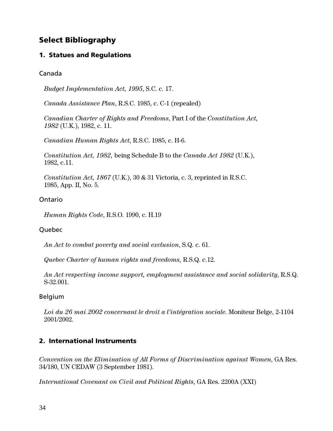## Select Bibliography

#### 1. Statues and Regulations

#### Canada

*Budget Implementation Act, 1995*, S.C. c. 17.

*Canada Assistance Plan*, R.S.C. 1985, c. C-1 (repealed)

*Canadian Charter of Rights and Freedoms*, Part I of the *Constitution Act, 1982* (U.K.), 1982, c. 11.

*Canadian Human Rights Act*, R.S.C. 1985, c. H-6.

*Constitution Act, 1982,* being Schedule B to the *Canada Act 1982* (U.K.), 1982, c.11.

*Constitution Act, 1867* (U.K.), 30 & 31 Victoria, c. 3, reprinted in R.S.C. 1985, App. II, No. 5.

#### Ontario

*Human Rights Code*, R.S.O. 1990, c. H.19

#### Quebec

*An Act to combat poverty and social exclusion*, S.Q. c. 61.

*Quebec Charter of human rights and freedoms,* R.S.Q. c.12.

*An Act respecting income support, employment assistance and social solidarity*, R.S.Q. S-32.001.

#### Belgium

*Loi du 26 mai 2002 concernant le droit a l'intégration sociale*. Moniteur Belge, 2-1104 2001/2002.

## 2. International Instruments

*Convention on the Elimination of All Forms of Discrimination against Women*, GA Res. 34/180, UN CEDAW (3 September 1981).

*International Covenant on Civil and Political Rights*, GA Res. 2200A (XXI)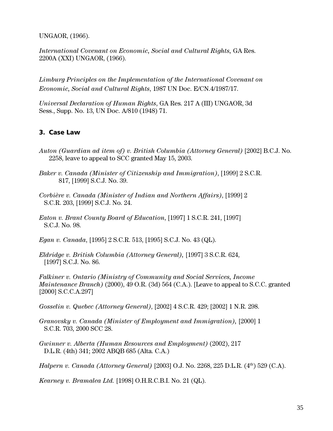UNGAOR, (1966).

*International Covenant on Economic, Social and Cultural Rights,* GA Res. 2200A (XXI) UNGAOR, (1966).

*Limburg Principles on the Implementation of the International Covenant on Economic, Social and Cultural Rights*, 1987 UN Doc. E/CN.4/1987/17.

*Universal Declaration of Human Rights*, GA Res. 217 A (III) UNGAOR, 3d Sess., Supp. No. 13, UN Doc. A/810 (1948) 71.

#### 3. Case Law

- *Auton (Guardian ad item of) v. British Columbia (Attorney General)* [2002] B.C.J. No. 2258, leave to appeal to SCC granted May 15, 2003.
- *Baker v. Canada (Minister of Citizenship and Immigration)*, [1999] 2 S.C.R. 817, [1999] S.C.J. No. 39.
- *Corbière v. Canada (Minister of Indian and Northern Affairs)*, [1999] 2 S.C.R. 203, [1999] S.C.J. No. 24.
- *Eaton v. Brant County Board of Education*, [1997] 1 S.C.R. 241, [1997] S.C.J. No. 98.

*Egan v. Canada*, [1995] 2 S.C.R. 513, [1995] S.C.J. No. 43 (QL).

*Eldridge v. British Columbia (Attorney General),* [1997] 3 S.C.R. 624, [1997] S.C.J. No. 86.

*Falkiner v. Ontario (Ministry of Community and Social Services, Income Maintenance Branch)* (2000), 49 O.R. (3d) 564 (C.A.). [Leave to appeal to S.C.C. granted [2000] S.C.C.A.297]

*Gosselin v. Quebec (Attorney General)*, [2002] 4 S.C.R. 429; [2002] 1 N.R. 298.

*Granovsky v. Canada (Minister of Employment and Immigration),* [2000] 1 S.C.R. 703, 2000 SCC 28.

*Gwinner v. Alberta (Human Resources and Employment)* (2002), 217 D.L.R. (4th) 341; 2002 ABQB 685 (Alta. C.A.)

*Halpern v. Canada (Attorney General)* [2003] O.J. No. 2268, 225 D.L.R. (4<sup>th</sup>) 529 (C.A).

*Kearney v. Bramalea Ltd.* [1998] O.H.R.C.B.I. No. 21 (QL).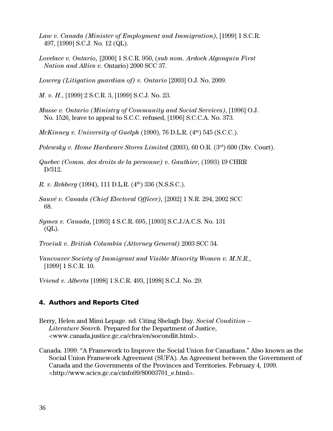- *Law v. Canada (Minister of Employment and Immigration)*, [1999] 1 S.C.R. 497, [1999] S.C.J. No. 12 (QL).
- *Lovelace v. Ontario,* [2000] 1 S.C.R. 950, (*sub nom. Ardoch Algonquin First Nation and Allies v.* Ontario) 2000 SCC 37.
- *Lowrey (Litigation guardian of) v. Ontario* [2003] O.J. No. 2009.
- *M. v. H.*, [1999] 2 S.C.R. 3, [1999] S.C.J. No. 23.
- *Masse v. Ontario (Ministry of Community and Social Services)*, [1996] O.J. No. 1526, leave to appeal to S.C.C. refused, [1996] S.C.C.A. No. 373.
- *McKinney v. University of Guelph* (1990), 76 D.L.R. (4<sup>th</sup>) 545 (S.C.C.).
- *Polewsky v. Home Hardware Stores Limited (2003), 60 O.R. (3rd) 600 (Div. Court).*
- *Quebec (Comm. des droits de la personne) v. Gauthier,* (1993) 19 CHRR D/312.
- *R. v. Rehberg* (1994), 111 D.L.R. (4<sup>th</sup>) 336 (N.S.S.C.).
- *Sauvé v. Canada (Chief Electoral Officer),* [2002] 1 N.R. 294, 2002 SCC 68.
- *Symes v. Canada*, [1993] 4 S.C.R. 695, [1993] S.C.J./A.C.S. No. 131 (QL).
- *Trociuk v. British Columbia (Attorney General)* 2003 SCC 34.
- *Vancouver Society of Immigrant and Visible Minority Women v. M.N.R.*, [1999] 1 S.C.R. 10.

*Vriend v. Alberta* [1998] 1 S.C.R. 493, [1998] S.C.J. No. 29.

#### 4. Authors and Reports Cited

- Berry, Helen and Mimi Lepage. nd. Citing Shelagh Day. *Social Condition Literature Search.* Prepared for the Department of Justice, <www.canada.justice.gc.ca/chra/en/socondlit.html>.
- Canada. 1999. "A Framework to Improve the Social Union for Canadians." Also known as the Social Union Framework Agreement (SUFA). An Agreement between the Government of Canada and the Governments of the Provinces and Territories. February 4, 1999. <http://www.scics.gc.ca/cinfo99/80003701\_e.html>.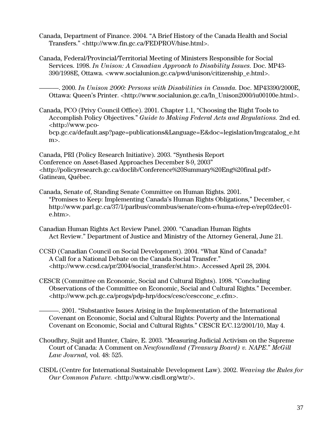- Canada, Department of Finance. 2004. "A Brief History of the Canada Health and Social Transfers." <http://www.fin.gc.ca/FEDPROV/hise.html>.
- Canada, Federal/Provincial/Territorial Meeting of Ministers Responsible for Social Services. 1998. *In Unison: A Canadian Approach to Disability Issues.* Doc. MP43- 390/1998E, Ottawa. <www.socialunion.gc.ca/pwd/unison/citizenship\_e.html>.

———. 2000. *In Unison 2000: Persons with Disabilities in Canada.* Doc. MP43390/2000E, Ottawa: Queen's Printer. <http://www.socialunion.gc.ca/In\_Unison2000/iu00100e.html>.

Canada, PCO (Privy Council Office). 2001. Chapter 1.1, "Choosing the Right Tools to Accomplish Policy Objectives." *Guide to Making Federal Acts and Regulations.* 2nd ed. <http://www.pcobcp.gc.ca/default.asp?page=publications&Language=E&doc=legislation/lmgcatalog\_e.ht  $m$ .

Canada, PRI (Policy Research Initiative). 2003. "Synthesis Report Conference on Asset-Based Approaches December 8-9, 2003" <http://policyresearch.gc.ca/doclib/Conference%20Summary%20Eng%20final.pdf> Gatineau, Québec.

- Canada, Senate of, Standing Senate Committee on Human Rights. 2001. "Promises to Keep: Implementing Canada's Human Rights Obligations," December, < http://www.parl.gc.ca/37/1/parlbus/commbus/senate/com-e/huma-e/rep-e/rep02dec01 e.htm>.
- Canadian Human Rights Act Review Panel. 2000. "Canadian Human Rights Act Review." Department of Justice and Ministry of the Attorney General, June 21.
- CCSD (Canadian Council on Social Development). 2004. "What Kind of Canada? A Call for a National Debate on the Canada Social Transfer." <http://www.ccsd.ca/pr/2004/social\_transfer/st.htm>. Accessed April 28, 2004.
- CESCR (Committee on Economic, Social and Cultural Rights). 1998. "Concluding Observations of the Committee on Economic, Social and Cultural Rights." December. <http://www.pch.gc.ca/progs/pdp-hrp/docs/cesc/cescconc\_e.cfm>.
	- ———. 2001. "Substantive Issues Arising in the Implementation of the International Covenant on Economic, Social and Cultural Rights: Poverty and the International Covenant on Economic, Social and Cultural Rights." CESCR E/C.12/2001/10, May 4.
- Choudhry, Sujit and Hunter, Claire, E. 2003. "Measuring Judicial Activism on the Supreme Court of Canada: A Comment on *Newfoundland (Treasury Board) v. NAPE*." *McGill Law Journal,* vol. 48: 525.
- CISDL (Centre for International Sustainable Development Law). 2002. *Weaving the Rules for Our Common Future.* <http://www.cisdl.org/wtr/>.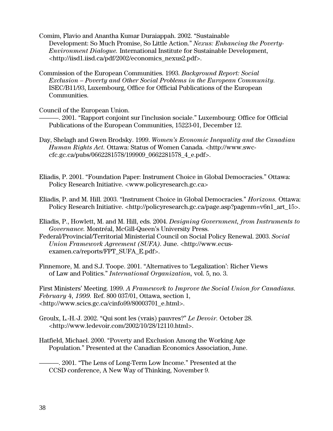Comim, Flavio and Anantha Kumar Duraiappah. 2002. "Sustainable Development: So Much Promise, So Little Action." *Nexus: Enhancing the Poverty-Environment Dialogue.* International Institute for Sustainable Development, <http://iisd1.iisd.ca/pdf/2002/economics\_nexus2.pdf>.

Commission of the European Communities. 1993. *Background Report: Social Exclusion – Poverty and Other Social Problems in the European Community*. ISEC/B11/93, Luxembourg, Office for Official Publications of the European Communities.

Council of the European Union.

———. 2001. "Rapport conjoint sur l'inclusion sociale." Luxembourg: Office for Official Publications of the European Communities, 15223-01, December 12.

- Day, Shelagh and Gwen Brodsky. 1999. *Women's Economic Inequality and the Canadian Human Rights Act.* Ottawa: Status of Women Canada. <http://www.swccfc.gc.ca/pubs/0662281578/199909\_0662281578\_4\_e.pdf>.
- Eliadis, P. 2001. "Foundation Paper: Instrument Choice in Global Democracies." Ottawa: Policy Research Initiative. <www.policyresearch.gc.ca>
- Eliadis, P. and M. Hill. 2003. "Instrument Choice in Global Democracies." *Horizons.* Ottawa: Policy Research Initiative. <http://policyresearch.gc.ca/page.asp?pagenm=v6n1\_art\_15>.
- Eliadis, P., Howlett, M. and M. Hill, eds. 2004. *Designing Government, from Instruments to Governance.* Montréal, McGill-Queen's University Press.
- Federal/Provincial/Territorial Ministerial Council on Social Policy Renewal. 2003. *Social Union Framework Agreement (SUFA).* June. <http://www.ecusexamen.ca/reports/FPT\_SUFA\_E.pdf>.

Finnemore, M. and S.J. Toope. 2001. "Alternatives to 'Legalization': Richer Views of Law and Politics." *International Organization,* vol. 5, no. 3.

First Ministers' Meeting. 1999. *A Framework to Improve the Social Union for Canadians. February 4, 1999.* Ref. 800 037/01, Ottawa, section 1, <http://www.scics.gc.ca/cinfo99/80003701\_e.html>.

- Groulx, L.-H.-J. 2002. "Qui sont les (vrais) pauvres?" *Le Devoir.* October 28. <http://www.ledevoir.com/2002/10/28/12110.html>.
- Hatfield, Michael. 2000. "Poverty and Exclusion Among the Working Age Population." Presented at the Canadian Economics Association, June.

———. 2001. "The Lens of Long-Term Low Income." Presented at the CCSD conference, A New Way of Thinking, November 9*.*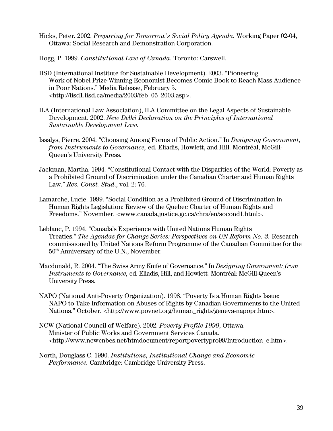- Hicks, Peter. 2002. *Preparing for Tomorrow's Social Policy Agenda.* Working Paper 02-04, Ottawa: Social Research and Demonstration Corporation.
- Hogg, P. 1999. *Constitutional Law of Canada.* Toronto: Carswell.
- IISD (International Institute for Sustainable Development). 2003. "Pioneering Work of Nobel Prize-Winning Economist Becomes Comic Book to Reach Mass Audience in Poor Nations." Media Release, February 5. <http://iisd1.iisd.ca/media/2003/feb\_05\_2003.asp>.
- ILA (International Law Association), ILA Committee on the Legal Aspects of Sustainable Development. 2002. *New Delhi Declaration on the Principles of International Sustainable Development Law.*
- Issalys, Pierre. 2004. "Choosing Among Forms of Public Action." In *Designing Government, from Instruments to Governance,* ed. Eliadis, Howlett, and Hill. Montréal, McGill-Queen's University Press.
- Jackman, Martha. 1994. "Constitutional Contact with the Disparities of the World: Poverty as a Prohibited Ground of Discrimination under the Canadian Charter and Human Rights Law." *Rev. Const. Stud*., vol. 2: 76.
- Lamarche, Lucie. 1999. "Social Condition as a Prohibited Ground of Discrimination in Human Rights Legislation: Review of the Quebec Charter of Human Rights and Freedoms." November. <www.canada.justice.gc.ca/chra/en/socond1.html>.
- Leblanc, P. 1994. "Canada's Experience with United Nations Human Rights Treaties." *The Agendas for Change Series: Perspectives on UN Reform No. 3.* Research commissioned by United Nations Reform Programme of the Canadian Committee for the 50th Anniversary of the U.N., November.
- Macdonald, R. 2004. "The Swiss Army Knife of Governance." In *Designing Government: from Instruments to Governance,* ed. Eliadis, Hill, and Howlett*.* Montréal: McGill-Queen's University Press.
- NAPO (National Anti-Poverty Organization). 1998. "Poverty Is a Human Rights Issue: NAPO to Take Information on Abuses of Rights by Canadian Governments to the United Nations." October. <http://www.povnet.org/human\_rights/geneva-napopr.htm>.
- NCW (National Council of Welfare). 2002. *Poverty Profile 1999*, Ottawa: Minister of Public Works and Government Services Canada. <http://www.ncwcnbes.net/htmdocument/reportpovertypro99/Introduction\_e.htm>.
- North, Douglass C. 1990. *Institutions, Institutional Change and Economic Performance.* Cambridge: Cambridge University Press.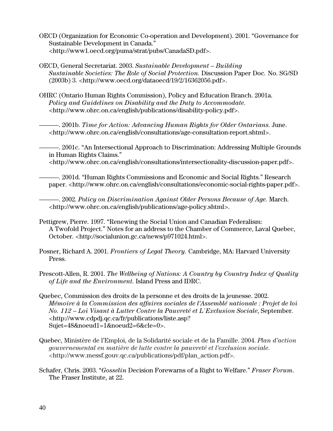- OECD (Organization for Economic Co-operation and Development). 2001. "Governance for Sustainable Development in Canada." <http://www1.oecd.org/puma/strat/pubs/CanadaSD.pdf>.
- OECD, General Secretariat. 2003. *Sustainable Development Building Sustainable Societies: The Role of Social Protection.* Discussion Paper Doc*.* No. SG/SD (2003b) 3. <http://www.oecd.org/dataoecd/19/2/16362056.pdf>.
- OHRC (Ontario Human Rights Commission), Policy and Education Branch. 2001a. *Policy and Guidelines on Disability and the Duty to Accommodate.* <http://www.ohrc.on.ca/english/publications/disability-policy.pdf>.
	- ———. 2001b. *Time for Action: Advancing Human Rights for Older Ontarians.* June. <http://www.ohrc.on.ca/english/consultations/age-consultation-report.shtml>.
	- ———. 2001c. "An Intersectional Approach to Discrimination: Addressing Multiple Grounds in Human Rights Claims."
		- <http://www.ohrc.on.ca/english/consultations/intersectionality-discussion-paper.pdf>.
	- ———. 2001d. "Human Rights Commissions and Economic and Social Rights." Research paper. <http://www.ohrc.on.ca/english/consultations/economic-social-rights-paper.pdf>.

———. 2002. *Policy on Discrimination Against Older Persons Because of Age.* March. <http://www.ohrc.on.ca/english/publications/age-policy.shtml>.

- Pettigrew, Pierre. 1997. "Renewing the Social Union and Canadian Federalism: A Twofold Project." Notes for an address to the Chamber of Commerce, Laval Quebec, October. <http://socialunion.gc.ca/news/p971024.html>.
- Posner, Richard A. 2001. *Frontiers of Legal Theory.* Cambridge, MA: Harvard University Press.
- Prescott-Allen, R. 2001. *The Wellbeing of Nations: A Country by Country Index of Quality of Life and the Environment.* Island Press and IDRC.
- Quebec, Commission des droits de la personne et des droits de la jeunesse. 2002. *Mémoire à la Commission des affaires sociales de l'Assemblé nationale : Projet de loi No. 112 – Loi Visant à Lutter Contre la Pauvreté et L`Exclusion Sociale*, September. <http://www.cdpdj.qc.ca/fr/publications/liste.asp? Sujet=48&noeud1=1&noeud2=6&cle=[0>](http://www.cdpdj.qc.ca/fr/publications/liste.asp?Sujet=48&noeud1=1&noeud2=6&cle=0).
- Quebec, Ministère de l'Emploi, de la Solidarité sociale et de la Famille. 2004. *Plan d'action gouvernemental en matière de lutte contre la pauvreté et l'exclusion sociale*. <http://www.messf.gouv.qc.ca/publications/pdf/plan\_action.pdf>.
- Schafer, Chris. 2003. "*Gosselin* Decision Forewarns of a Right to Welfare." *Fraser Forum*. The Fraser Institute, at 22.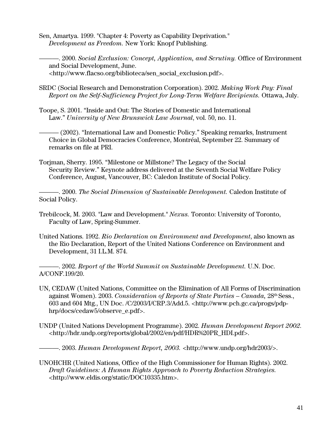Sen, Amartya. 1999. "Chapter 4: Poverty as Capability Deprivation." *Development as Freedom.* New York: Knopf Publishing.

———. 2000. *Social Exclusion: Concept, Application, and Scrutiny.* Office of Environment and Social Development, June. <http://www.flacso.org/biblioteca/sen\_social\_exclusion.pdf>.

- SRDC (Social Research and Demonstration Corporation). 2002. *Making Work Pay: Final Report on the Self-Sufficiency Project for Long-Term Welfare Recipients.* Ottawa, July.
- Toope, S. 2001. "Inside and Out: The Stories of Domestic and International Law." *University of New Brunswick Law Journal*, vol. 50, no. 11.

——— (2002). "International Law and Domestic Policy." Speaking remarks, Instrument Choice in Global Democracies Conference, Montréal, September 22. Summary of remarks on file at PRI.

Torjman, Sherry. 1995. "Milestone or Millstone? The Legacy of the Social Security Review." Keynote address delivered at the Seventh Social Welfare Policy Conference, August, Vancouver, BC: Caledon Institute of Social Policy.

*———*. 2000. *The Social Dimension of Sustainable Development.* Caledon Institute of Social Policy.

- Trebilcock, M. 2003. "Law and Development." *Nexus.* Toronto: University of Toronto, Faculty of Law, Spring-Summer.
- United Nations. 1992. *Rio Declaration on Environment and Development*, also known as the Rio Declaration, Report of the United Nations Conference on Environment and Development, 31 I.L.M. 874.

———. 2002. *Report of the World Summit on Sustainable Development.* U.N. Doc. A/CONF.199/20.

- UN, CEDAW (United Nations, Committee on the Elimination of All Forms of Discrimination against Women). 2003. *Consideration of Reports of State Parties – Canada,* 28th Sess., 603 and 604 Mtg., UN Doc. /C/2003/I/CRP.3/Add.5. <http://www.pch.gc.ca/progs/pdphrp/docs/cedaw5/observe\_e.pdf>.
- UNDP (United Nations Development Programme). 2002. *Human Development Report 2002.*  <http://hdr.undp.org/reports/global/2002/en/pdf/HDR%20PR\_HDI.pdf>.

———. 2003. *Human Development Report, 2003.* <http://www.undp.org/hdr2003/>.

UNOHCHR (United Nations, Office of the High Commissioner for Human Rights). 2002. *Draft Guidelines: A Human Rights Approach to Poverty Reduction Strategies. <*http://www.eldis.org/static/DOC10335.htm>.